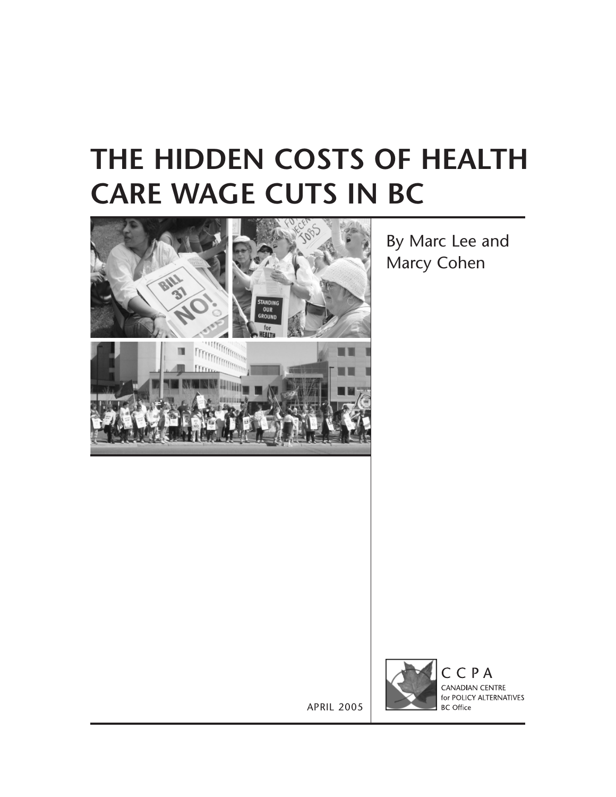## **THE HIDDEN COSTS OF HEALTH CARE WAGE CUTS IN BC**



By Marc Lee and Marcy Cohen



CCPA CANADIAN CENTRE for POLICY ALTERNATIVES **BC** Office

APRIL 2005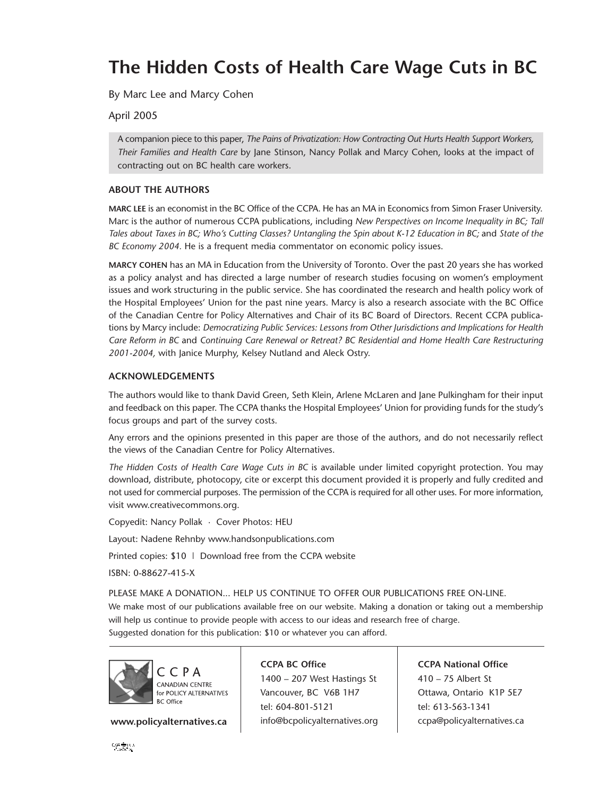## **The Hidden Costs of Health Care Wage Cuts in BC**

By Marc Lee and Marcy Cohen

April 2005

A companion piece to this paper, *The Pains of Privatization: How Contracting Out Hurts Health Support Workers, Their Families and Health Care* by Jane Stinson, Nancy Pollak and Marcy Cohen, looks at the impact of contracting out on BC health care workers.

### **ABOUT THE AUTHORS**

**MARC LEE** is an economist in the BC Office of the CCPA. He has an MA in Economics from Simon Fraser University. Marc is the author of numerous CCPA publications, including *New Perspectives on Income Inequality in BC; Tall Tales about Taxes in BC; Who's Cutting Classes? Untangling the Spin about K-12 Education in BC;* and *State of the BC Economy 2004.* He is a frequent media commentator on economic policy issues.

**MARCY COHEN** has an MA in Education from the University of Toronto. Over the past 20 years she has worked as a policy analyst and has directed a large number of research studies focusing on women's employment issues and work structuring in the public service. She has coordinated the research and health policy work of the Hospital Employees' Union for the past nine years. Marcy is also a research associate with the BC Office of the Canadian Centre for Policy Alternatives and Chair of its BC Board of Directors. Recent CCPA publications by Marcy include: *Democratizing Public Services: Lessons from Other Jurisdictions and Implications for Health Care Reform in BC* and *Continuing Care Renewal or Retreat? BC Residential and Home Health Care Restructuring 2001-2004,* with Janice Murphy, Kelsey Nutland and Aleck Ostry.

### **ACKNOWLEDGEMENTS**

The authors would like to thank David Green, Seth Klein, Arlene McLaren and Jane Pulkingham for their input and feedback on this paper. The CCPA thanks the Hospital Employees' Union for providing funds for the study's focus groups and part of the survey costs.

Any errors and the opinions presented in this paper are those of the authors, and do not necessarily reflect the views of the Canadian Centre for Policy Alternatives.

The Hidden Costs of Health Care Wage Cuts in BC is available under limited copyright protection. You may download, distribute, photocopy, cite or excerpt this document provided it is properly and fully credited and not used for commercial purposes. The permission of the CCPA is required for all other uses. For more information, visit www.creativecommons.org.

Copyedit: Nancy Pollak · Cover Photos: HEU

Layout: Nadene Rehnby www.handsonpublications.com

Printed copies: \$10 | Download free from the CCPA website

ISBN: 0-88627-415-X

PLEASE MAKE A DONATION... HELP US CONTINUE TO OFFER OUR PUBLICATIONS FREE ON-LINE. We make most of our publications available free on our website. Making a donation or taking out a membership will help us continue to provide people with access to our ideas and research free of charge.

Suggested donation for this publication: \$10 or whatever you can afford.



www.policyalternatives.ca | info@bcpolicyalternatives.org

**CCPA BC Office** 1400 – 207 West Hastings St Vancouver, BC V6B 1H7 tel: 604-801-5121

**CCPA National Office** 410 – 75 Albert St Ottawa, Ontario K1P 5E7 tel: 613-563-1341 ccpa@policyalternatives.ca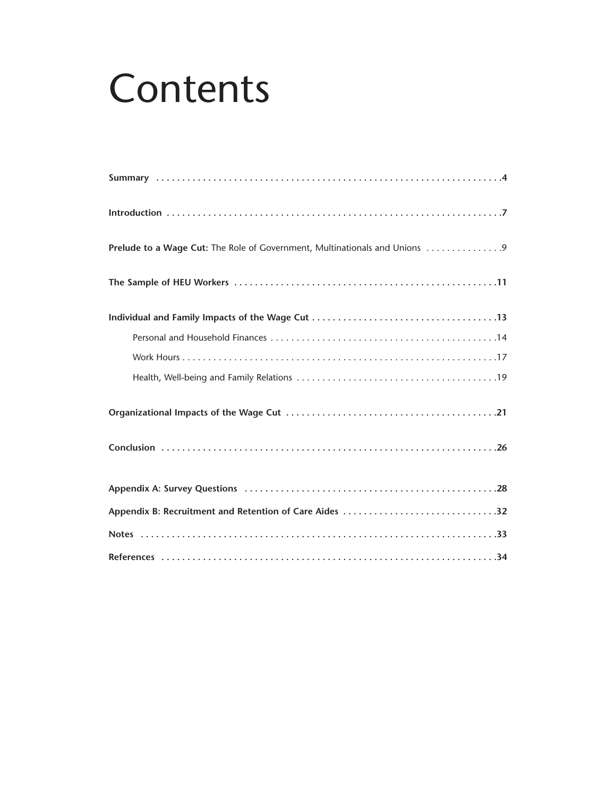# **Contents**

| Prelude to a Wage Cut: The Role of Government, Multinationals and Unions |
|--------------------------------------------------------------------------|
|                                                                          |
|                                                                          |
|                                                                          |
|                                                                          |
|                                                                          |
|                                                                          |
|                                                                          |
|                                                                          |
| Appendix B: Recruitment and Retention of Care Aides 32                   |
|                                                                          |
|                                                                          |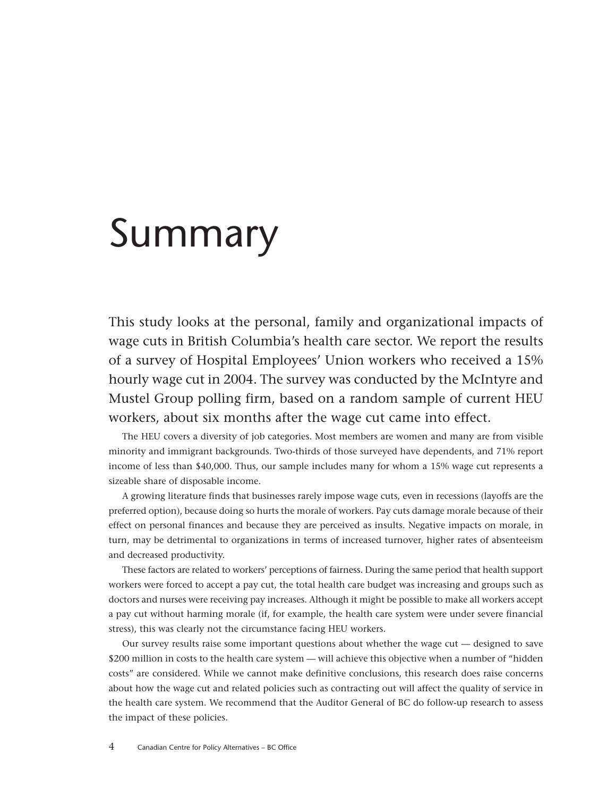## <span id="page-3-0"></span>Summary

This study looks at the personal, family and organizational impacts of wage cuts in British Columbia's health care sector. We report the results of a survey of Hospital Employees' Union workers who received a 15% hourly wage cut in 2004. The survey was conducted by the McIntyre and Mustel Group polling firm, based on a random sample of current HEU workers, about six months after the wage cut came into effect.

The HEU covers a diversity of job categories. Most members are women and many are from visible minority and immigrant backgrounds. Two-thirds of those surveyed have dependents, and 71% report income of less than \$40,000. Thus, our sample includes many for whom a 15% wage cut represents a sizeable share of disposable income.

A growing literature finds that businesses rarely impose wage cuts, even in recessions (layoffs are the preferred option), because doing so hurts the morale of workers. Pay cuts damage morale because of their effect on personal finances and because they are perceived as insults. Negative impacts on morale, in turn, may be detrimental to organizations in terms of increased turnover, higher rates of absenteeism and decreased productivity.

These factors are related to workers' perceptions of fairness. During the same period that health support workers were forced to accept a pay cut, the total health care budget was increasing and groups such as doctors and nurses were receiving pay increases. Although it might be possible to make all workers accept a pay cut without harming morale (if, for example, the health care system were under severe financial stress), this was clearly not the circumstance facing HEU workers.

Our survey results raise some important questions about whether the wage cut — designed to save \$200 million in costs to the health care system — will achieve this objective when a number of "hidden costs" are considered. While we cannot make definitive conclusions, this research does raise concerns about how the wage cut and related policies such as contracting out will affect the quality of service in the health care system. We recommend that the Auditor General of BC do follow-up research to assess the impact of these policies.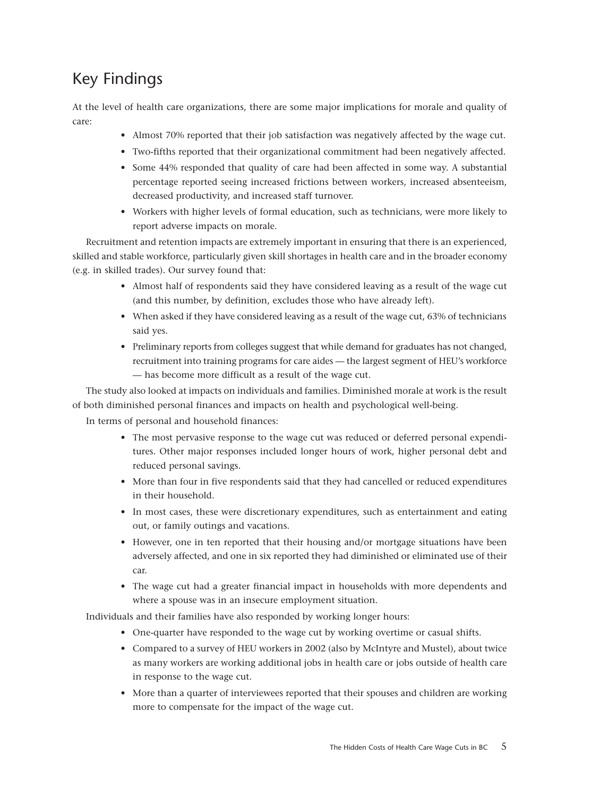## Key Findings

At the level of health care organizations, there are some major implications for morale and quality of care:

- Almost 70% reported that their job satisfaction was negatively affected by the wage cut.
- Two-fifths reported that their organizational commitment had been negatively affected.
- Some 44% responded that quality of care had been affected in some way. A substantial percentage reported seeing increased frictions between workers, increased absenteeism, decreased productivity, and increased staff turnover.
- Workers with higher levels of formal education, such as technicians, were more likely to report adverse impacts on morale.

Recruitment and retention impacts are extremely important in ensuring that there is an experienced, skilled and stable workforce, particularly given skill shortages in health care and in the broader economy (e.g. in skilled trades). Our survey found that:

- Almost half of respondents said they have considered leaving as a result of the wage cut (and this number, by definition, excludes those who have already left).
- When asked if they have considered leaving as a result of the wage cut, 63% of technicians said yes.
- Preliminary reports from colleges suggest that while demand for graduates has not changed, recruitment into training programs for care aides — the largest segment of HEU's workforce — has become more difficult as a result of the wage cut.

The study also looked at impacts on individuals and families. Diminished morale at work is the result of both diminished personal finances and impacts on health and psychological well-being.

In terms of personal and household finances:

- The most pervasive response to the wage cut was reduced or deferred personal expenditures. Other major responses included longer hours of work, higher personal debt and reduced personal savings.
- More than four in five respondents said that they had cancelled or reduced expenditures in their household.
- In most cases, these were discretionary expenditures, such as entertainment and eating out, or family outings and vacations.
- However, one in ten reported that their housing and/or mortgage situations have been adversely affected, and one in six reported they had diminished or eliminated use of their car.
- The wage cut had a greater financial impact in households with more dependents and where a spouse was in an insecure employment situation.

Individuals and their families have also responded by working longer hours:

- One-quarter have responded to the wage cut by working overtime or casual shifts.
- Compared to a survey of HEU workers in 2002 (also by McIntyre and Mustel), about twice as many workers are working additional jobs in health care or jobs outside of health care in response to the wage cut.
- More than a quarter of interviewees reported that their spouses and children are working more to compensate for the impact of the wage cut.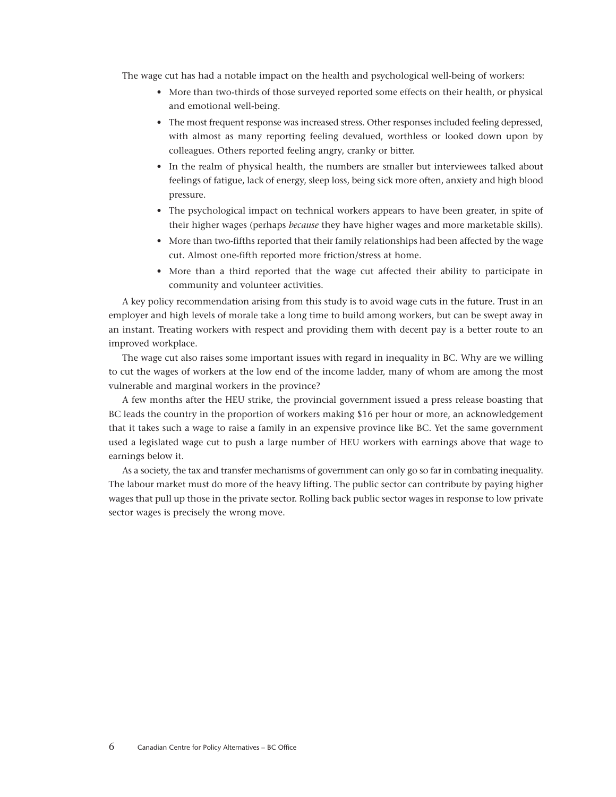The wage cut has had a notable impact on the health and psychological well-being of workers:

- More than two-thirds of those surveyed reported some effects on their health, or physical and emotional well-being.
- The most frequent response was increased stress. Other responses included feeling depressed, with almost as many reporting feeling devalued, worthless or looked down upon by colleagues. Others reported feeling angry, cranky or bitter.
- In the realm of physical health, the numbers are smaller but interviewees talked about feelings of fatigue, lack of energy, sleep loss, being sick more often, anxiety and high blood pressure.
- The psychological impact on technical workers appears to have been greater, in spite of their higher wages (perhaps *because* they have higher wages and more marketable skills).
- More than two-fifths reported that their family relationships had been affected by the wage cut. Almost one-fifth reported more friction/stress at home.
- More than a third reported that the wage cut affected their ability to participate in community and volunteer activities.

A key policy recommendation arising from this study is to avoid wage cuts in the future. Trust in an employer and high levels of morale take a long time to build among workers, but can be swept away in an instant. Treating workers with respect and providing them with decent pay is a better route to an improved workplace.

The wage cut also raises some important issues with regard in inequality in BC. Why are we willing to cut the wages of workers at the low end of the income ladder, many of whom are among the most vulnerable and marginal workers in the province?

A few months after the HEU strike, the provincial government issued a press release boasting that BC leads the country in the proportion of workers making \$16 per hour or more, an acknowledgement that it takes such a wage to raise a family in an expensive province like BC. Yet the same government used a legislated wage cut to push a large number of HEU workers with earnings above that wage to earnings below it.

As a society, the tax and transfer mechanisms of government can only go so far in combating inequality. The labour market must do more of the heavy lifting. The public sector can contribute by paying higher wages that pull up those in the private sector. Rolling back public sector wages in response to low private sector wages is precisely the wrong move.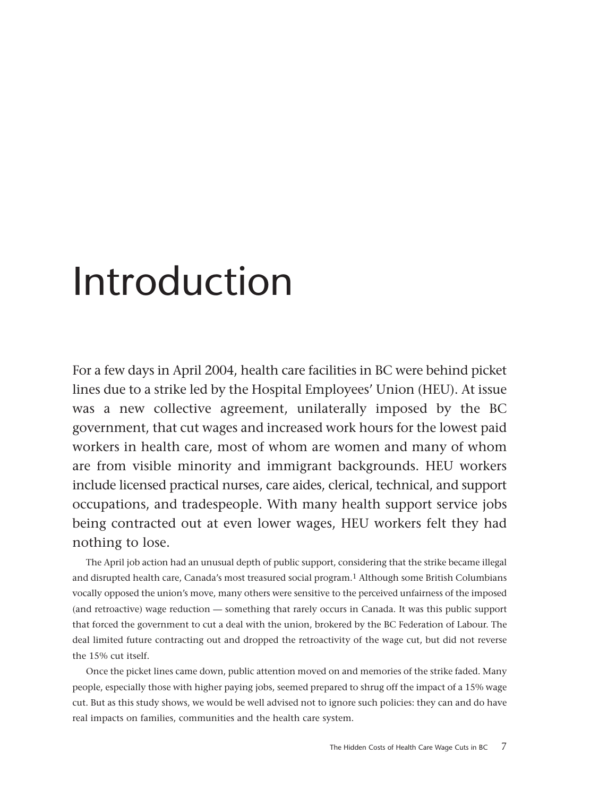# <span id="page-6-0"></span>Introduction

For a few days in April 2004, health care facilities in BC were behind picket lines due to a strike led by the Hospital Employees' Union (HEU). At issue was a new collective agreement, unilaterally imposed by the BC government, that cut wages and increased work hours for the lowest paid workers in health care, most of whom are women and many of whom are from visible minority and immigrant backgrounds. HEU workers include licensed practical nurses, care aides, clerical, technical, and support occupations, and tradespeople. With many health support service jobs being contracted out at even lower wages, HEU workers felt they had nothing to lose.

The April job action had an unusual depth of public support, considering that the strike became illegal and disrupted health care, Canada's most treasured social program.1 Although some British Columbians vocally opposed the union's move, many others were sensitive to the perceived unfairness of the imposed (and retroactive) wage reduction — something that rarely occurs in Canada. It was this public support that forced the government to cut a deal with the union, brokered by the BC Federation of Labour. The deal limited future contracting out and dropped the retroactivity of the wage cut, but did not reverse the 15% cut itself.

Once the picket lines came down, public attention moved on and memories of the strike faded. Many people, especially those with higher paying jobs, seemed prepared to shrug off the impact of a 15% wage cut. But as this study shows, we would be well advised not to ignore such policies: they can and do have real impacts on families, communities and the health care system.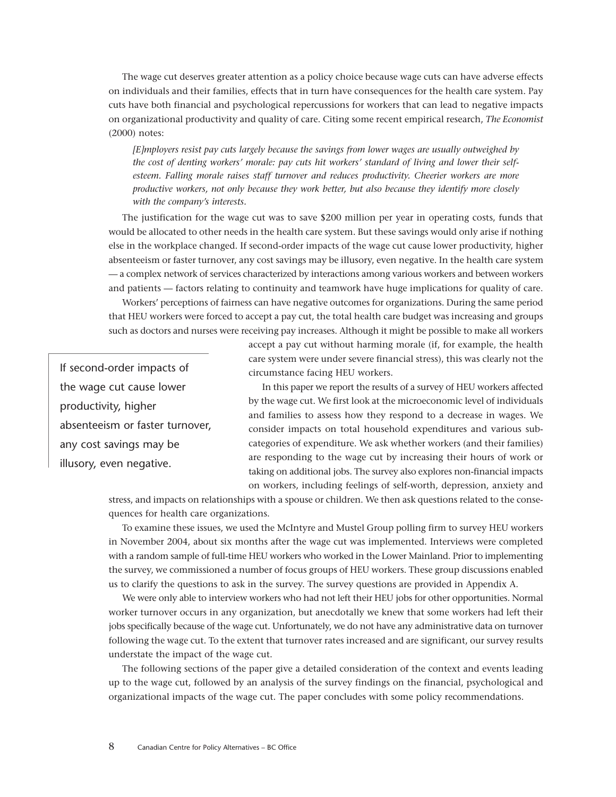The wage cut deserves greater attention as a policy choice because wage cuts can have adverse effects on individuals and their families, effects that in turn have consequences for the health care system. Pay cuts have both financial and psychological repercussions for workers that can lead to negative impacts on organizational productivity and quality of care. Citing some recent empirical research, *The Economist* (2000) notes:

*[E]mployers resist pay cuts largely because the savings from lower wages are usually outweighed by the cost of denting workers' morale: pay cuts hit workers' standard of living and lower their selfesteem. Falling morale raises staff turnover and reduces productivity. Cheerier workers are more productive workers, not only because they work better, but also because they identify more closely with the company's interests.*

The justification for the wage cut was to save \$200 million per year in operating costs, funds that would be allocated to other needs in the health care system. But these savings would only arise if nothing else in the workplace changed. If second-order impacts of the wage cut cause lower productivity, higher absenteeism or faster turnover, any cost savings may be illusory, even negative. In the health care system — a complex network of services characterized by interactions among various workers and between workers and patients — factors relating to continuity and teamwork have huge implications for quality of care.

Workers' perceptions of fairness can have negative outcomes for organizations. During the same period that HEU workers were forced to accept a pay cut, the total health care budget was increasing and groups such as doctors and nurses were receiving pay increases. Although it might be possible to make all workers

If second-order impacts of the wage cut cause lower productivity, higher absenteeism or faster turnover, any cost savings may be illusory, even negative.

accept a pay cut without harming morale (if, for example, the health care system were under severe financial stress), this was clearly not the circumstance facing HEU workers.

In this paper we report the results of a survey of HEU workers affected by the wage cut. We first look at the microeconomic level of individuals and families to assess how they respond to a decrease in wages. We consider impacts on total household expenditures and various subcategories of expenditure. We ask whether workers (and their families) are responding to the wage cut by increasing their hours of work or taking on additional jobs. The survey also explores non-financial impacts on workers, including feelings of self-worth, depression, anxiety and

stress, and impacts on relationships with a spouse or children. We then ask questions related to the consequences for health care organizations.

To examine these issues, we used the McIntyre and Mustel Group polling firm to survey HEU workers in November 2004, about six months after the wage cut was implemented. Interviews were completed with a random sample of full-time HEU workers who worked in the Lower Mainland. Prior to implementing the survey, we commissioned a number of focus groups of HEU workers. These group discussions enabled us to clarify the questions to ask in the survey. The survey questions are provided in Appendix A.

We were only able to interview workers who had not left their HEU jobs for other opportunities. Normal worker turnover occurs in any organization, but anecdotally we knew that some workers had left their jobs specifically because of the wage cut. Unfortunately, we do not have any administrative data on turnover following the wage cut. To the extent that turnover rates increased and are significant, our survey results understate the impact of the wage cut.

The following sections of the paper give a detailed consideration of the context and events leading up to the wage cut, followed by an analysis of the survey findings on the financial, psychological and organizational impacts of the wage cut. The paper concludes with some policy recommendations.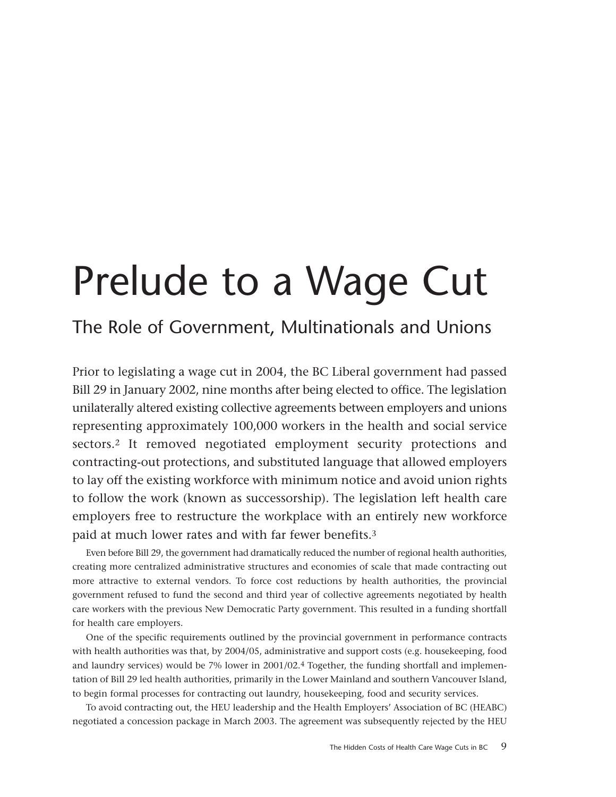# <span id="page-8-0"></span>Prelude to a Wage Cut

## The Role of Government, Multinationals and Unions

Prior to legislating a wage cut in 2004, the BC Liberal government had passed Bill 29 in January 2002, nine months after being elected to office. The legislation unilaterally altered existing collective agreements between employers and unions representing approximately 100,000 workers in the health and social service sectors.2 It removed negotiated employment security protections and contracting-out protections, and substituted language that allowed employers to lay off the existing workforce with minimum notice and avoid union rights to follow the work (known as successorship). The legislation left health care employers free to restructure the workplace with an entirely new workforce paid at much lower rates and with far fewer benefits.3

Even before Bill 29, the government had dramatically reduced the number of regional health authorities, creating more centralized administrative structures and economies of scale that made contracting out more attractive to external vendors. To force cost reductions by health authorities, the provincial government refused to fund the second and third year of collective agreements negotiated by health care workers with the previous New Democratic Party government. This resulted in a funding shortfall for health care employers.

One of the specific requirements outlined by the provincial government in performance contracts with health authorities was that, by 2004/05, administrative and support costs (e.g. housekeeping, food and laundry services) would be 7% lower in 2001/02.4 Together, the funding shortfall and implementation of Bill 29 led health authorities, primarily in the Lower Mainland and southern Vancouver Island, to begin formal processes for contracting out laundry, housekeeping, food and security services.

To avoid contracting out, the HEU leadership and the Health Employers' Association of BC (HEABC) negotiated a concession package in March 2003. The agreement was subsequently rejected by the HEU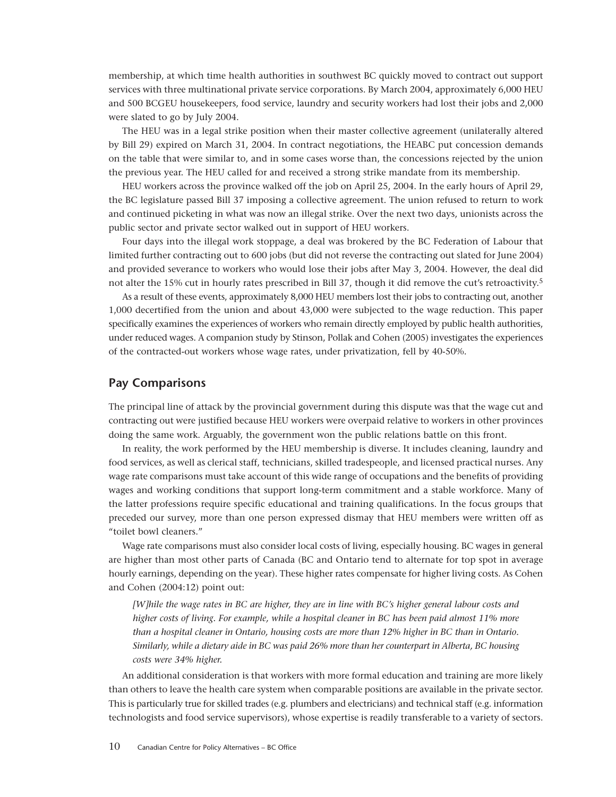membership, at which time health authorities in southwest BC quickly moved to contract out support services with three multinational private service corporations. By March 2004, approximately 6,000 HEU and 500 BCGEU housekeepers, food service, laundry and security workers had lost their jobs and 2,000 were slated to go by July 2004.

The HEU was in a legal strike position when their master collective agreement (unilaterally altered by Bill 29) expired on March 31, 2004. In contract negotiations, the HEABC put concession demands on the table that were similar to, and in some cases worse than, the concessions rejected by the union the previous year. The HEU called for and received a strong strike mandate from its membership.

HEU workers across the province walked off the job on April 25, 2004. In the early hours of April 29, the BC legislature passed Bill 37 imposing a collective agreement. The union refused to return to work and continued picketing in what was now an illegal strike. Over the next two days, unionists across the public sector and private sector walked out in support of HEU workers.

Four days into the illegal work stoppage, a deal was brokered by the BC Federation of Labour that limited further contracting out to 600 jobs (but did not reverse the contracting out slated for June 2004) and provided severance to workers who would lose their jobs after May 3, 2004. However, the deal did not alter the 15% cut in hourly rates prescribed in Bill 37, though it did remove the cut's retroactivity.5

As a result of these events, approximately 8,000 HEU members lost their jobs to contracting out, another 1,000 decertified from the union and about 43,000 were subjected to the wage reduction. This paper specifically examines the experiences of workers who remain directly employed by public health authorities, under reduced wages. A companion study by Stinson, Pollak and Cohen (2005) investigates the experiences of the contracted-out workers whose wage rates, under privatization, fell by 40-50%.

### **Pay Comparisons**

The principal line of attack by the provincial government during this dispute was that the wage cut and contracting out were justified because HEU workers were overpaid relative to workers in other provinces doing the same work. Arguably, the government won the public relations battle on this front.

In reality, the work performed by the HEU membership is diverse. It includes cleaning, laundry and food services, as well as clerical staff, technicians, skilled tradespeople, and licensed practical nurses. Any wage rate comparisons must take account of this wide range of occupations and the benefits of providing wages and working conditions that support long-term commitment and a stable workforce. Many of the latter professions require specific educational and training qualifications. In the focus groups that preceded our survey, more than one person expressed dismay that HEU members were written off as "toilet bowl cleaners."

Wage rate comparisons must also consider local costs of living, especially housing. BC wages in general are higher than most other parts of Canada (BC and Ontario tend to alternate for top spot in average hourly earnings, depending on the year). These higher rates compensate for higher living costs. As Cohen and Cohen (2004:12) point out:

*[W]hile the wage rates in BC are higher, they are in line with BC's higher general labour costs and higher costs of living. For example, while a hospital cleaner in BC has been paid almost 11% more than a hospital cleaner in Ontario, housing costs are more than 12% higher in BC than in Ontario. Similarly, while a dietary aide in BC was paid 26% more than her counterpart in Alberta, BC housing costs were 34% higher.*

An additional consideration is that workers with more formal education and training are more likely than others to leave the health care system when comparable positions are available in the private sector. This is particularly true for skilled trades (e.g. plumbers and electricians) and technical staff (e.g. information technologists and food service supervisors), whose expertise is readily transferable to a variety of sectors.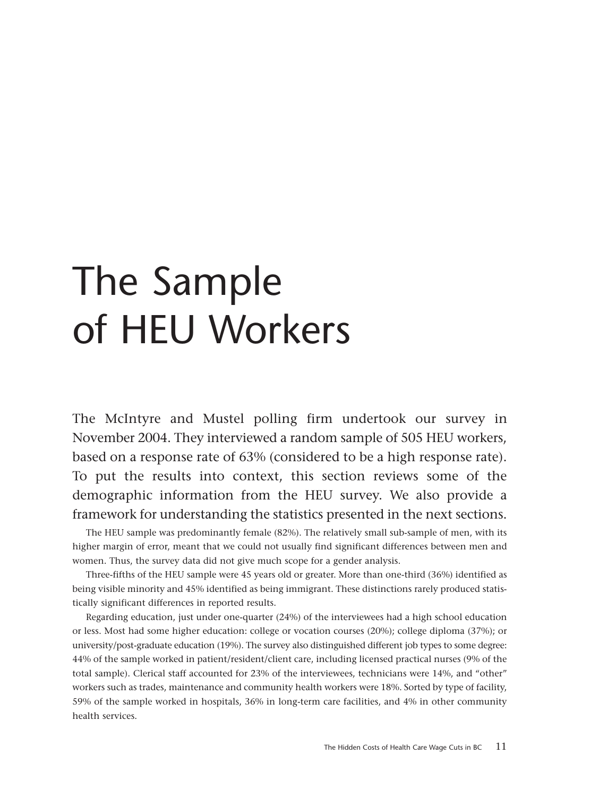# <span id="page-10-0"></span>The Sample of HEU Workers

The McIntyre and Mustel polling firm undertook our survey in November 2004. They interviewed a random sample of 505 HEU workers, based on a response rate of 63% (considered to be a high response rate). To put the results into context, this section reviews some of the demographic information from the HEU survey. We also provide a framework for understanding the statistics presented in the next sections.

The HEU sample was predominantly female (82%). The relatively small sub-sample of men, with its higher margin of error, meant that we could not usually find significant differences between men and women. Thus, the survey data did not give much scope for a gender analysis.

Three-fifths of the HEU sample were 45 years old or greater. More than one-third (36%) identified as being visible minority and 45% identified as being immigrant. These distinctions rarely produced statistically significant differences in reported results.

Regarding education, just under one-quarter (24%) of the interviewees had a high school education or less. Most had some higher education: college or vocation courses (20%); college diploma (37%); or university/post-graduate education (19%). The survey also distinguished different job types to some degree: 44% of the sample worked in patient/resident/client care, including licensed practical nurses (9% of the total sample). Clerical staff accounted for 23% of the interviewees, technicians were 14%, and "other" workers such as trades, maintenance and community health workers were 18%. Sorted by type of facility, 59% of the sample worked in hospitals, 36% in long-term care facilities, and 4% in other community health services.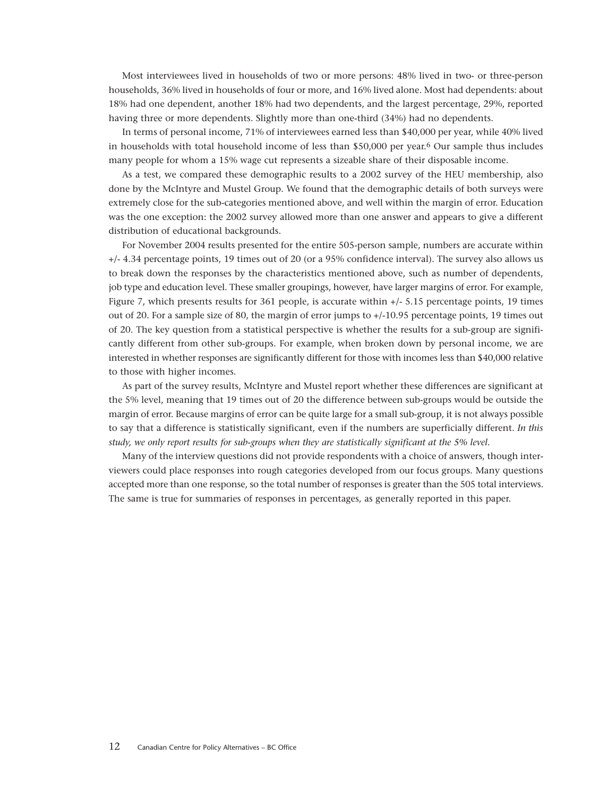Most interviewees lived in households of two or more persons: 48% lived in two- or three-person households, 36% lived in households of four or more, and 16% lived alone. Most had dependents: about 18% had one dependent, another 18% had two dependents, and the largest percentage, 29%, reported having three or more dependents. Slightly more than one-third (34%) had no dependents.

In terms of personal income, 71% of interviewees earned less than \$40,000 per year, while 40% lived in households with total household income of less than \$50,000 per year.6 Our sample thus includes many people for whom a 15% wage cut represents a sizeable share of their disposable income.

As a test, we compared these demographic results to a 2002 survey of the HEU membership, also done by the McIntyre and Mustel Group. We found that the demographic details of both surveys were extremely close for the sub-categories mentioned above, and well within the margin of error. Education was the one exception: the 2002 survey allowed more than one answer and appears to give a different distribution of educational backgrounds.

For November 2004 results presented for the entire 505-person sample, numbers are accurate within +/- 4.34 percentage points, 19 times out of 20 (or a 95% confidence interval). The survey also allows us to break down the responses by the characteristics mentioned above, such as number of dependents, job type and education level. These smaller groupings, however, have larger margins of error. For example, Figure 7, which presents results for 361 people, is accurate within +/- 5.15 percentage points, 19 times out of 20. For a sample size of 80, the margin of error jumps to +/-10.95 percentage points, 19 times out of 20. The key question from a statistical perspective is whether the results for a sub-group are significantly different from other sub-groups. For example, when broken down by personal income, we are interested in whether responses are significantly different for those with incomes less than \$40,000 relative to those with higher incomes.

As part of the survey results, McIntyre and Mustel report whether these differences are significant at the 5% level, meaning that 19 times out of 20 the difference between sub-groups would be outside the margin of error. Because margins of error can be quite large for a small sub-group, it is not always possible to say that a difference is statistically significant, even if the numbers are superficially different. *In this study, we only report results for sub-groups when they are statistically significant at the 5% level.*

Many of the interview questions did not provide respondents with a choice of answers, though interviewers could place responses into rough categories developed from our focus groups. Many questions accepted more than one response, so the total number of responses is greater than the 505 total interviews. The same is true for summaries of responses in percentages, as generally reported in this paper.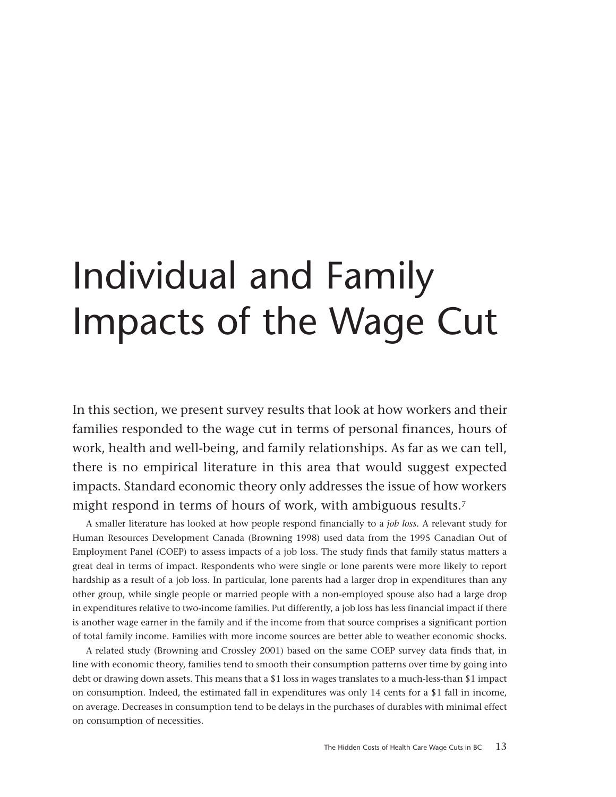# <span id="page-12-0"></span>Individual and Family Impacts of the Wage Cut

In this section, we present survey results that look at how workers and their families responded to the wage cut in terms of personal finances, hours of work, health and well-being, and family relationships. As far as we can tell, there is no empirical literature in this area that would suggest expected impacts. Standard economic theory only addresses the issue of how workers might respond in terms of hours of work, with ambiguous results.7

A smaller literature has looked at how people respond financially to a *job loss.* A relevant study for Human Resources Development Canada (Browning 1998) used data from the 1995 Canadian Out of Employment Panel (COEP) to assess impacts of a job loss. The study finds that family status matters a great deal in terms of impact. Respondents who were single or lone parents were more likely to report hardship as a result of a job loss. In particular, lone parents had a larger drop in expenditures than any other group, while single people or married people with a non-employed spouse also had a large drop in expenditures relative to two-income families. Put differently, a job loss has less financial impact if there is another wage earner in the family and if the income from that source comprises a significant portion of total family income. Families with more income sources are better able to weather economic shocks.

A related study (Browning and Crossley 2001) based on the same COEP survey data finds that, in line with economic theory, families tend to smooth their consumption patterns over time by going into debt or drawing down assets. This means that a \$1 loss in wages translates to a much-less-than \$1 impact on consumption. Indeed, the estimated fall in expenditures was only 14 cents for a \$1 fall in income, on average. Decreases in consumption tend to be delays in the purchases of durables with minimal effect on consumption of necessities.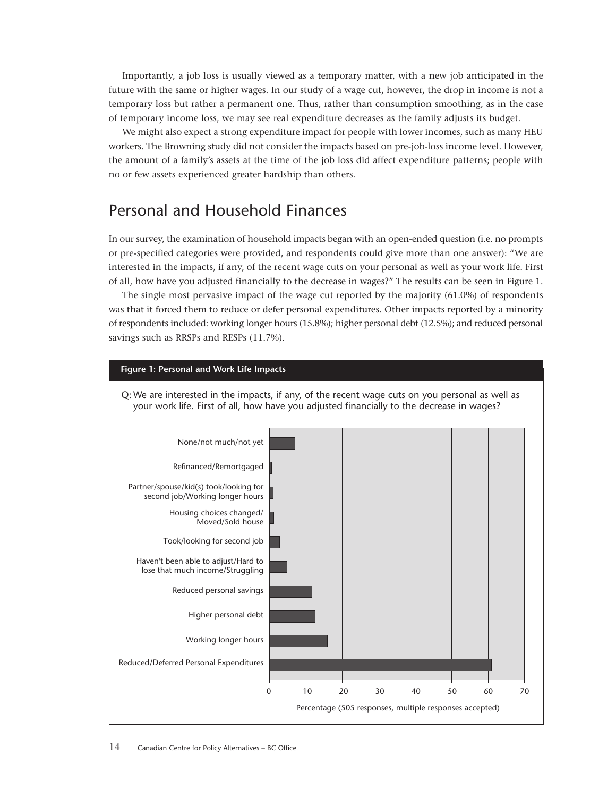<span id="page-13-0"></span>Importantly, a job loss is usually viewed as a temporary matter, with a new job anticipated in the future with the same or higher wages. In our study of a wage cut, however, the drop in income is not a temporary loss but rather a permanent one. Thus, rather than consumption smoothing, as in the case of temporary income loss, we may see real expenditure decreases as the family adjusts its budget.

We might also expect a strong expenditure impact for people with lower incomes, such as many HEU workers. The Browning study did not consider the impacts based on pre-job-loss income level. However, the amount of a family's assets at the time of the job loss did affect expenditure patterns; people with no or few assets experienced greater hardship than others.

### Personal and Household Finances

In our survey, the examination of household impacts began with an open-ended question (i.e. no prompts or pre-specified categories were provided, and respondents could give more than one answer): "We are interested in the impacts, if any, of the recent wage cuts on your personal as well as your work life. First of all, how have you adjusted financially to the decrease in wages?" The results can be seen in Figure 1.

The single most pervasive impact of the wage cut reported by the majority (61.0%) of respondents was that it forced them to reduce or defer personal expenditures. Other impacts reported by a minority of respondents included: working longer hours (15.8%); higher personal debt (12.5%); and reduced personal savings such as RRSPs and RESPs (11.7%).

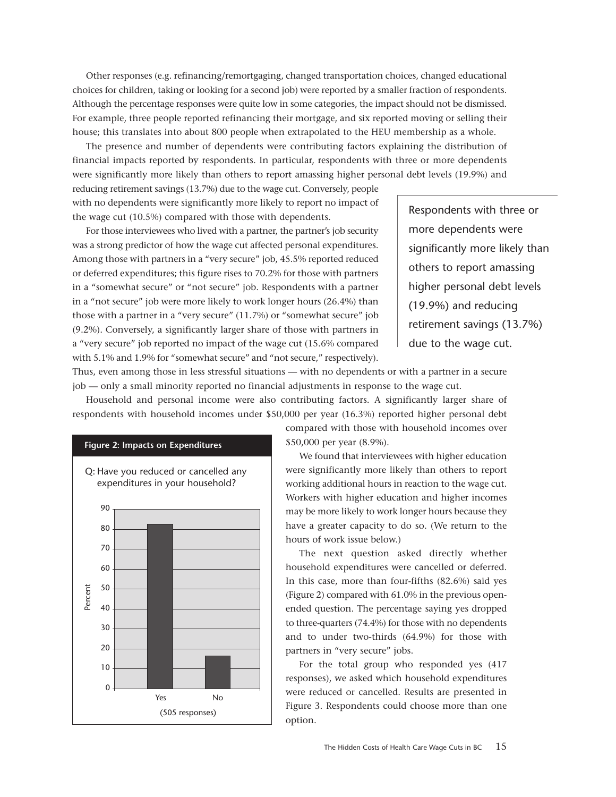Other responses (e.g. refinancing/remortgaging, changed transportation choices, changed educational choices for children, taking or looking for a second job) were reported by a smaller fraction of respondents. Although the percentage responses were quite low in some categories, the impact should not be dismissed. For example, three people reported refinancing their mortgage, and six reported moving or selling their house; this translates into about 800 people when extrapolated to the HEU membership as a whole.

The presence and number of dependents were contributing factors explaining the distribution of financial impacts reported by respondents. In particular, respondents with three or more dependents were significantly more likely than others to report amassing higher personal debt levels (19.9%) and

reducing retirement savings (13.7%) due to the wage cut. Conversely, people with no dependents were significantly more likely to report no impact of the wage cut (10.5%) compared with those with dependents.

For those interviewees who lived with a partner, the partner's job security was a strong predictor of how the wage cut affected personal expenditures. Among those with partners in a "very secure" job, 45.5% reported reduced or deferred expenditures; this figure rises to 70.2% for those with partners in a "somewhat secure" or "not secure" job. Respondents with a partner in a "not secure" job were more likely to work longer hours (26.4%) than those with a partner in a "very secure" (11.7%) or "somewhat secure" job (9.2%). Conversely, a significantly larger share of those with partners in a "very secure" job reported no impact of the wage cut (15.6% compared with 5.1% and 1.9% for "somewhat secure" and "not secure," respectively).

Respondents with three or more dependents were significantly more likely than others to report amassing higher personal debt levels (19.9%) and reducing retirement savings (13.7%) due to the wage cut.

Thus, even among those in less stressful situations — with no dependents or with a partner in a secure job — only a small minority reported no financial adjustments in response to the wage cut.

Household and personal income were also contributing factors. A significantly larger share of respondents with household incomes under \$50,000 per year (16.3%) reported higher personal debt



compared with those with household incomes over \$50,000 per year (8.9%).

We found that interviewees with higher education were significantly more likely than others to report working additional hours in reaction to the wage cut. Workers with higher education and higher incomes may be more likely to work longer hours because they have a greater capacity to do so. (We return to the hours of work issue below.)

The next question asked directly whether household expenditures were cancelled or deferred. In this case, more than four-fifths (82.6%) said yes (Figure 2) compared with 61.0% in the previous openended question. The percentage saying yes dropped to three-quarters (74.4%) for those with no dependents and to under two-thirds (64.9%) for those with partners in "very secure" jobs.

For the total group who responded yes (417 responses), we asked which household expenditures were reduced or cancelled. Results are presented in Figure 3. Respondents could choose more than one option.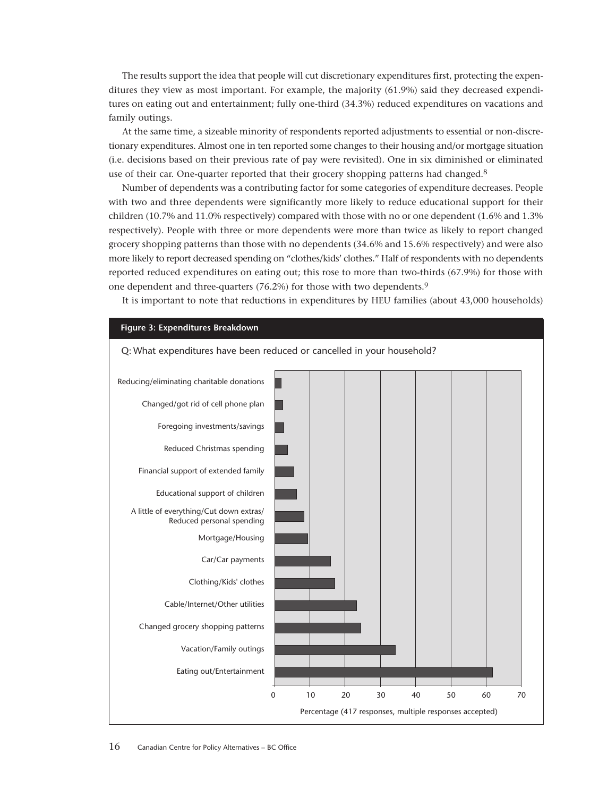The results support the idea that people will cut discretionary expenditures first, protecting the expenditures they view as most important. For example, the majority (61.9%) said they decreased expenditures on eating out and entertainment; fully one-third (34.3%) reduced expenditures on vacations and family outings.

At the same time, a sizeable minority of respondents reported adjustments to essential or non-discretionary expenditures. Almost one in ten reported some changes to their housing and/or mortgage situation (i.e. decisions based on their previous rate of pay were revisited). One in six diminished or eliminated use of their car. One-quarter reported that their grocery shopping patterns had changed.<sup>8</sup>

Number of dependents was a contributing factor for some categories of expenditure decreases. People with two and three dependents were significantly more likely to reduce educational support for their children (10.7% and 11.0% respectively) compared with those with no or one dependent (1.6% and 1.3% respectively). People with three or more dependents were more than twice as likely to report changed grocery shopping patterns than those with no dependents (34.6% and 15.6% respectively) and were also more likely to report decreased spending on "clothes/kids' clothes." Half of respondents with no dependents reported reduced expenditures on eating out; this rose to more than two-thirds (67.9%) for those with one dependent and three-quarters (76.2%) for those with two dependents.9

It is important to note that reductions in expenditures by HEU families (about 43,000 households)

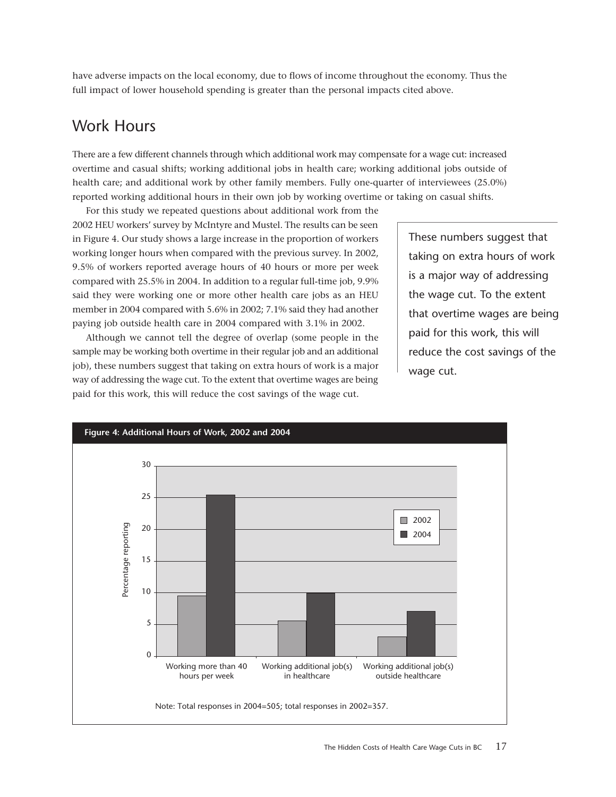have adverse impacts on the local economy, due to flows of income throughout the economy. Thus the full impact of lower household spending is greater than the personal impacts cited above.

### Work Hours

There are a few different channels through which additional work may compensate for a wage cut: increased overtime and casual shifts; working additional jobs in health care; working additional jobs outside of health care; and additional work by other family members. Fully one-quarter of interviewees (25.0%) reported working additional hours in their own job by working overtime or taking on casual shifts.

For this study we repeated questions about additional work from the 2002 HEU workers' survey by McIntyre and Mustel. The results can be seen in Figure 4. Our study shows a large increase in the proportion of workers working longer hours when compared with the previous survey. In 2002, 9.5% of workers reported average hours of 40 hours or more per week compared with 25.5% in 2004. In addition to a regular full-time job, 9.9% said they were working one or more other health care jobs as an HEU member in 2004 compared with 5.6% in 2002; 7.1% said they had another paying job outside health care in 2004 compared with 3.1% in 2002.

Although we cannot tell the degree of overlap (some people in the sample may be working both overtime in their regular job and an additional job), these numbers suggest that taking on extra hours of work is a major way of addressing the wage cut. To the extent that overtime wages are being paid for this work, this will reduce the cost savings of the wage cut.

<span id="page-16-0"></span>These numbers suggest that taking on extra hours of work is a major way of addressing the wage cut. To the extent that overtime wages are being paid for this work, this will reduce the cost savings of the wage cut.

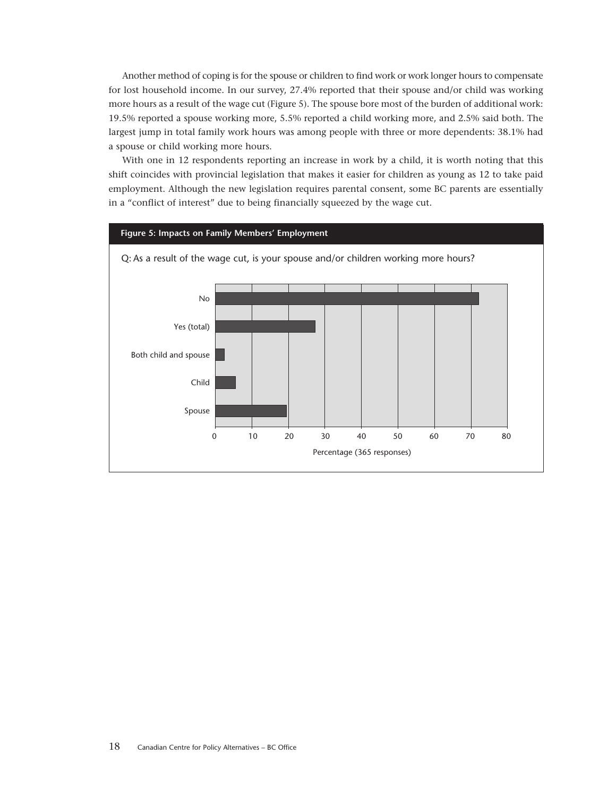Another method of coping is for the spouse or children to find work or work longer hours to compensate for lost household income. In our survey, 27.4% reported that their spouse and/or child was working more hours as a result of the wage cut (Figure 5). The spouse bore most of the burden of additional work: 19.5% reported a spouse working more, 5.5% reported a child working more, and 2.5% said both. The largest jump in total family work hours was among people with three or more dependents: 38.1% had a spouse or child working more hours.

With one in 12 respondents reporting an increase in work by a child, it is worth noting that this shift coincides with provincial legislation that makes it easier for children as young as 12 to take paid employment. Although the new legislation requires parental consent, some BC parents are essentially in a "conflict of interest" due to being financially squeezed by the wage cut.

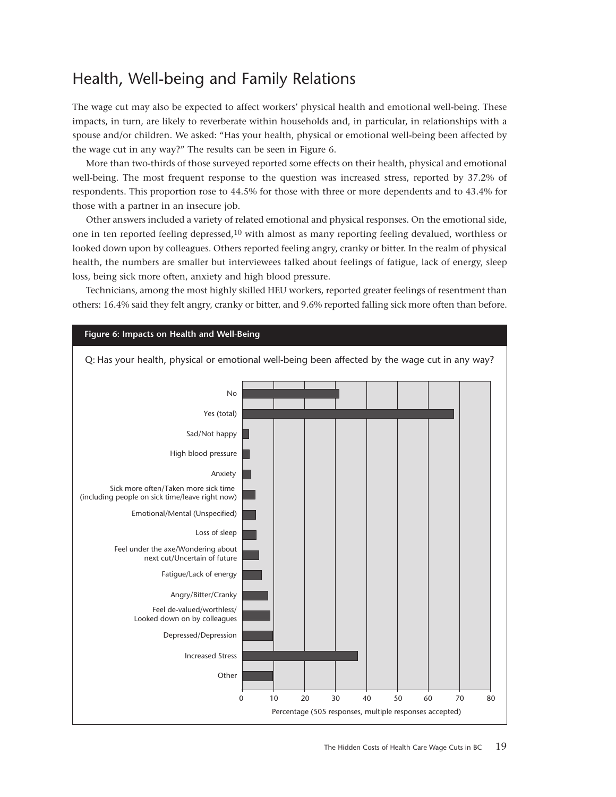### <span id="page-18-0"></span>Health, Well-being and Family Relations

The wage cut may also be expected to affect workers' physical health and emotional well-being. These impacts, in turn, are likely to reverberate within households and, in particular, in relationships with a spouse and/or children. We asked: "Has your health, physical or emotional well-being been affected by the wage cut in any way?" The results can be seen in Figure 6.

More than two-thirds of those surveyed reported some effects on their health, physical and emotional well-being. The most frequent response to the question was increased stress, reported by 37.2% of respondents. This proportion rose to 44.5% for those with three or more dependents and to 43.4% for those with a partner in an insecure job.

Other answers included a variety of related emotional and physical responses. On the emotional side, one in ten reported feeling depressed,10 with almost as many reporting feeling devalued, worthless or looked down upon by colleagues. Others reported feeling angry, cranky or bitter. In the realm of physical health, the numbers are smaller but interviewees talked about feelings of fatigue, lack of energy, sleep loss, being sick more often, anxiety and high blood pressure.

Technicians, among the most highly skilled HEU workers, reported greater feelings of resentment than others: 16.4% said they felt angry, cranky or bitter, and 9.6% reported falling sick more often than before.

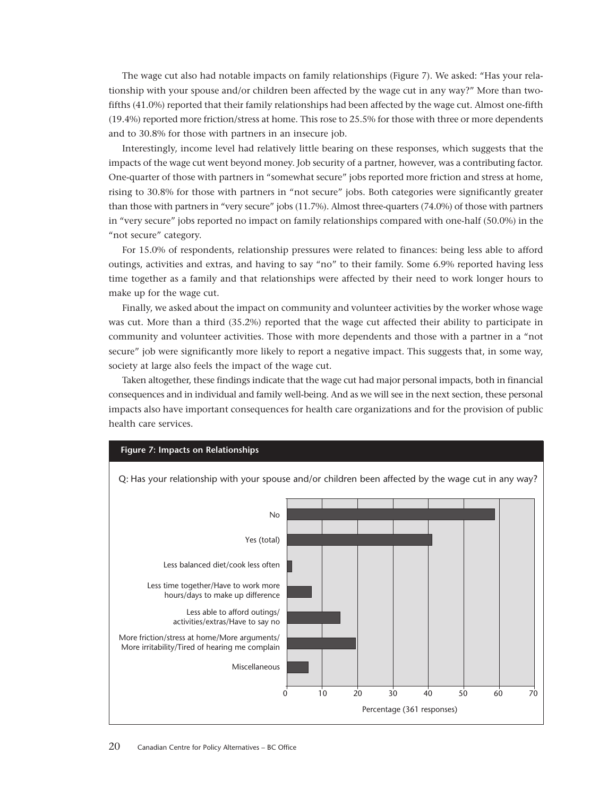The wage cut also had notable impacts on family relationships (Figure 7). We asked: "Has your relationship with your spouse and/or children been affected by the wage cut in any way?" More than twofifths (41.0%) reported that their family relationships had been affected by the wage cut. Almost one-fifth (19.4%) reported more friction/stress at home. This rose to 25.5% for those with three or more dependents and to 30.8% for those with partners in an insecure job.

Interestingly, income level had relatively little bearing on these responses, which suggests that the impacts of the wage cut went beyond money. Job security of a partner, however, was a contributing factor. One-quarter of those with partners in "somewhat secure" jobs reported more friction and stress at home, rising to 30.8% for those with partners in "not secure" jobs. Both categories were significantly greater than those with partners in "very secure" jobs (11.7%). Almost three-quarters (74.0%) of those with partners in "very secure" jobs reported no impact on family relationships compared with one-half (50.0%) in the "not secure" category.

For 15.0% of respondents, relationship pressures were related to finances: being less able to afford outings, activities and extras, and having to say "no" to their family. Some 6.9% reported having less time together as a family and that relationships were affected by their need to work longer hours to make up for the wage cut.

Finally, we asked about the impact on community and volunteer activities by the worker whose wage was cut. More than a third (35.2%) reported that the wage cut affected their ability to participate in community and volunteer activities. Those with more dependents and those with a partner in a "not secure" job were significantly more likely to report a negative impact. This suggests that, in some way, society at large also feels the impact of the wage cut.

Taken altogether, these findings indicate that the wage cut had major personal impacts, both in financial consequences and in individual and family well-being. And as we will see in the next section, these personal impacts also have important consequences for health care organizations and for the provision of public health care services.

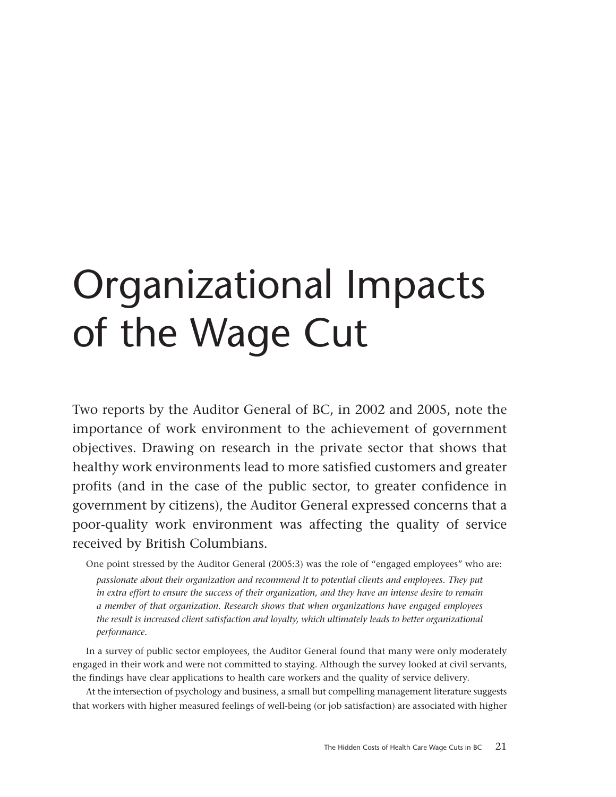# <span id="page-20-0"></span>Organizational Impacts of the Wage Cut

Two reports by the Auditor General of BC, in 2002 and 2005, note the importance of work environment to the achievement of government objectives. Drawing on research in the private sector that shows that healthy work environments lead to more satisfied customers and greater profits (and in the case of the public sector, to greater confidence in government by citizens), the Auditor General expressed concerns that a poor-quality work environment was affecting the quality of service received by British Columbians.

One point stressed by the Auditor General (2005:3) was the role of "engaged employees" who are:

*passionate about their organization and recommend it to potential clients and employees. They put in extra effort to ensure the success of their organization, and they have an intense desire to remain a member of that organization. Research shows that when organizations have engaged employees the result is increased client satisfaction and loyalty, which ultimately leads to better organizational performance.*

In a survey of public sector employees, the Auditor General found that many were only moderately engaged in their work and were not committed to staying. Although the survey looked at civil servants, the findings have clear applications to health care workers and the quality of service delivery.

At the intersection of psychology and business, a small but compelling management literature suggests that workers with higher measured feelings of well-being (or job satisfaction) are associated with higher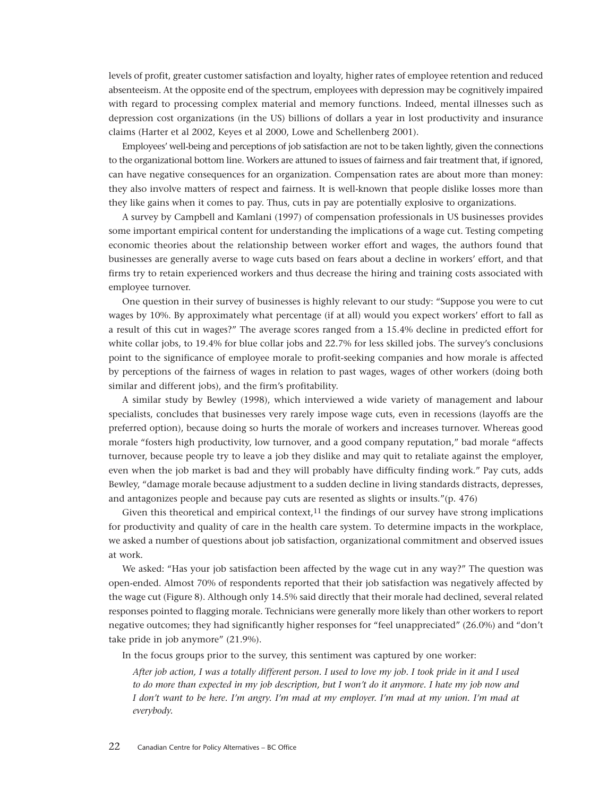levels of profit, greater customer satisfaction and loyalty, higher rates of employee retention and reduced absenteeism. At the opposite end of the spectrum, employees with depression may be cognitively impaired with regard to processing complex material and memory functions. Indeed, mental illnesses such as depression cost organizations (in the US) billions of dollars a year in lost productivity and insurance claims (Harter et al 2002, Keyes et al 2000, Lowe and Schellenberg 2001).

Employees' well-being and perceptions of job satisfaction are not to be taken lightly, given the connections to the organizational bottom line. Workers are attuned to issues of fairness and fair treatment that, if ignored, can have negative consequences for an organization. Compensation rates are about more than money: they also involve matters of respect and fairness. It is well-known that people dislike losses more than they like gains when it comes to pay. Thus, cuts in pay are potentially explosive to organizations.

A survey by Campbell and Kamlani (1997) of compensation professionals in US businesses provides some important empirical content for understanding the implications of a wage cut. Testing competing economic theories about the relationship between worker effort and wages, the authors found that businesses are generally averse to wage cuts based on fears about a decline in workers' effort, and that firms try to retain experienced workers and thus decrease the hiring and training costs associated with employee turnover.

One question in their survey of businesses is highly relevant to our study: "Suppose you were to cut wages by 10%. By approximately what percentage (if at all) would you expect workers' effort to fall as a result of this cut in wages?" The average scores ranged from a 15.4% decline in predicted effort for white collar jobs, to 19.4% for blue collar jobs and 22.7% for less skilled jobs. The survey's conclusions point to the significance of employee morale to profit-seeking companies and how morale is affected by perceptions of the fairness of wages in relation to past wages, wages of other workers (doing both similar and different jobs), and the firm's profitability.

A similar study by Bewley (1998), which interviewed a wide variety of management and labour specialists, concludes that businesses very rarely impose wage cuts, even in recessions (layoffs are the preferred option), because doing so hurts the morale of workers and increases turnover. Whereas good morale "fosters high productivity, low turnover, and a good company reputation," bad morale "affects turnover, because people try to leave a job they dislike and may quit to retaliate against the employer, even when the job market is bad and they will probably have difficulty finding work." Pay cuts, adds Bewley, "damage morale because adjustment to a sudden decline in living standards distracts, depresses, and antagonizes people and because pay cuts are resented as slights or insults."(p. 476)

Given this theoretical and empirical context, $11$  the findings of our survey have strong implications for productivity and quality of care in the health care system. To determine impacts in the workplace, we asked a number of questions about job satisfaction, organizational commitment and observed issues at work.

We asked: "Has your job satisfaction been affected by the wage cut in any way?" The question was open-ended. Almost 70% of respondents reported that their job satisfaction was negatively affected by the wage cut (Figure 8). Although only 14.5% said directly that their morale had declined, several related responses pointed to flagging morale. Technicians were generally more likely than other workers to report negative outcomes; they had significantly higher responses for "feel unappreciated" (26.0%) and "don't take pride in job anymore" (21.9%).

In the focus groups prior to the survey, this sentiment was captured by one worker:

*After job action, I was a totally different person. I used to love my job. I took pride in it and I used to do more than expected in my job description, but I won't do it anymore. I hate my job now and I don't want to be here. I'm angry. I'm mad at my employer. I'm mad at my union. I'm mad at everybody.*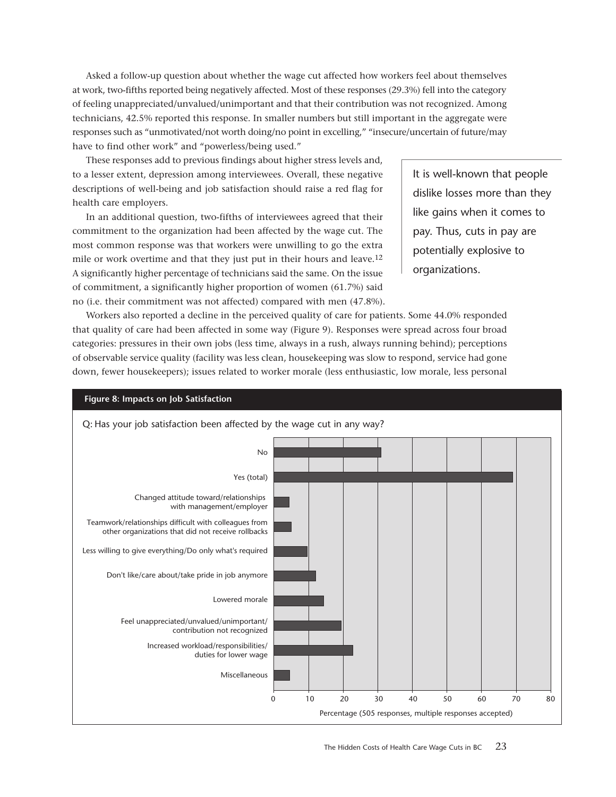Asked a follow-up question about whether the wage cut affected how workers feel about themselves at work, two-fifths reported being negatively affected. Most of these responses (29.3%) fell into the category of feeling unappreciated/unvalued/unimportant and that their contribution was not recognized. Among technicians, 42.5% reported this response. In smaller numbers but still important in the aggregate were responses such as "unmotivated/not worth doing/no point in excelling," "insecure/uncertain of future/may have to find other work" and "powerless/being used."

These responses add to previous findings about higher stress levels and, to a lesser extent, depression among interviewees. Overall, these negative descriptions of well-being and job satisfaction should raise a red flag for health care employers.

In an additional question, two-fifths of interviewees agreed that their commitment to the organization had been affected by the wage cut. The most common response was that workers were unwilling to go the extra mile or work overtime and that they just put in their hours and leave.12 A significantly higher percentage of technicians said the same. On the issue of commitment, a significantly higher proportion of women (61.7%) said no (i.e. their commitment was not affected) compared with men (47.8%).

It is well-known that people dislike losses more than they like gains when it comes to pay. Thus, cuts in pay are potentially explosive to organizations.

Workers also reported a decline in the perceived quality of care for patients. Some 44.0% responded that quality of care had been affected in some way (Figure 9). Responses were spread across four broad categories: pressures in their own jobs (less time, always in a rush, always running behind); perceptions of observable service quality (facility was less clean, housekeeping was slow to respond, service had gone down, fewer housekeepers); issues related to worker morale (less enthusiastic, low morale, less personal

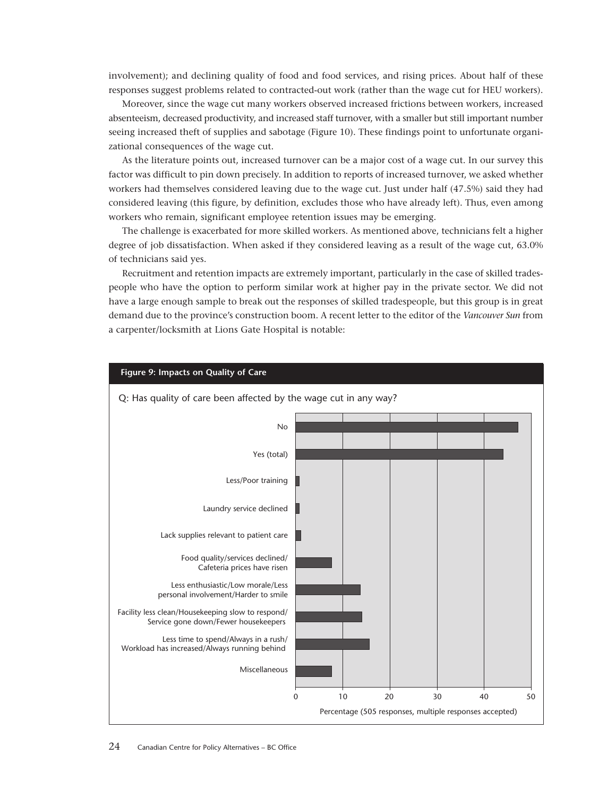involvement); and declining quality of food and food services, and rising prices. About half of these responses suggest problems related to contracted-out work (rather than the wage cut for HEU workers).

Moreover, since the wage cut many workers observed increased frictions between workers, increased absenteeism, decreased productivity, and increased staff turnover, with a smaller but still important number seeing increased theft of supplies and sabotage (Figure 10). These findings point to unfortunate organizational consequences of the wage cut.

As the literature points out, increased turnover can be a major cost of a wage cut. In our survey this factor was difficult to pin down precisely. In addition to reports of increased turnover, we asked whether workers had themselves considered leaving due to the wage cut. Just under half (47.5%) said they had considered leaving (this figure, by definition, excludes those who have already left). Thus, even among workers who remain, significant employee retention issues may be emerging.

The challenge is exacerbated for more skilled workers. As mentioned above, technicians felt a higher degree of job dissatisfaction. When asked if they considered leaving as a result of the wage cut, 63.0% of technicians said yes.

Recruitment and retention impacts are extremely important, particularly in the case of skilled tradespeople who have the option to perform similar work at higher pay in the private sector. We did not have a large enough sample to break out the responses of skilled tradespeople, but this group is in great demand due to the province's construction boom. A recent letter to the editor of the *Vancouver Sun* from a carpenter/locksmith at Lions Gate Hospital is notable:

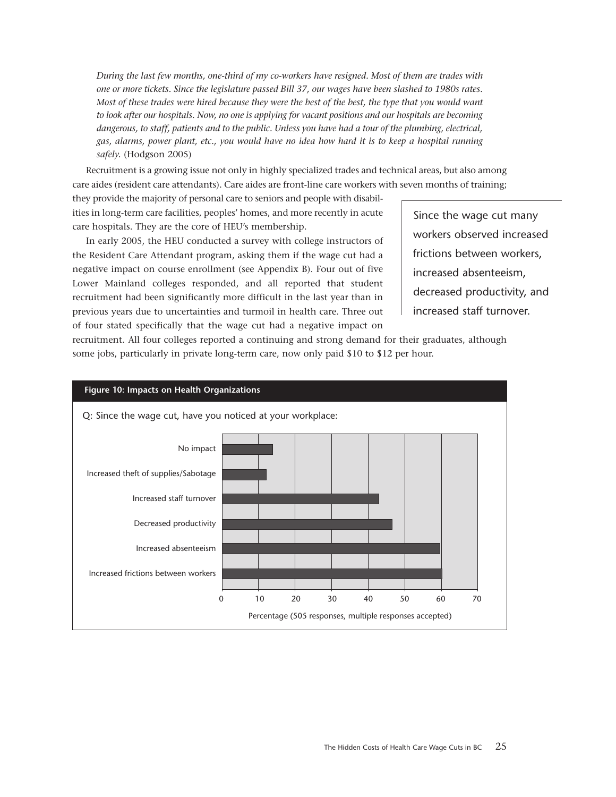*During the last few months, one-third of my co-workers have resigned. Most of them are trades with one or more tickets. Since the legislature passed Bill 37, our wages have been slashed to 1980s rates. Most of these trades were hired because they were the best of the best, the type that you would want to look after our hospitals. Now, no one is applying for vacant positions and our hospitals are becoming dangerous, to staff, patients and to the public. Unless you have had a tour of the plumbing, electrical, gas, alarms, power plant, etc., you would have no idea how hard it is to keep a hospital running safely.* (Hodgson 2005)

Recruitment is a growing issue not only in highly specialized trades and technical areas, but also among care aides (resident care attendants). Care aides are front-line care workers with seven months of training;

they provide the majority of personal care to seniors and people with disabilities in long-term care facilities, peoples' homes, and more recently in acute care hospitals. They are the core of HEU's membership.

In early 2005, the HEU conducted a survey with college instructors of the Resident Care Attendant program, asking them if the wage cut had a negative impact on course enrollment (see Appendix B). Four out of five Lower Mainland colleges responded, and all reported that student recruitment had been significantly more difficult in the last year than in previous years due to uncertainties and turmoil in health care. Three out of four stated specifically that the wage cut had a negative impact on

Since the wage cut many workers observed increased frictions between workers, increased absenteeism, decreased productivity, and increased staff turnover.

recruitment. All four colleges reported a continuing and strong demand for their graduates, although some jobs, particularly in private long-term care, now only paid \$10 to \$12 per hour.

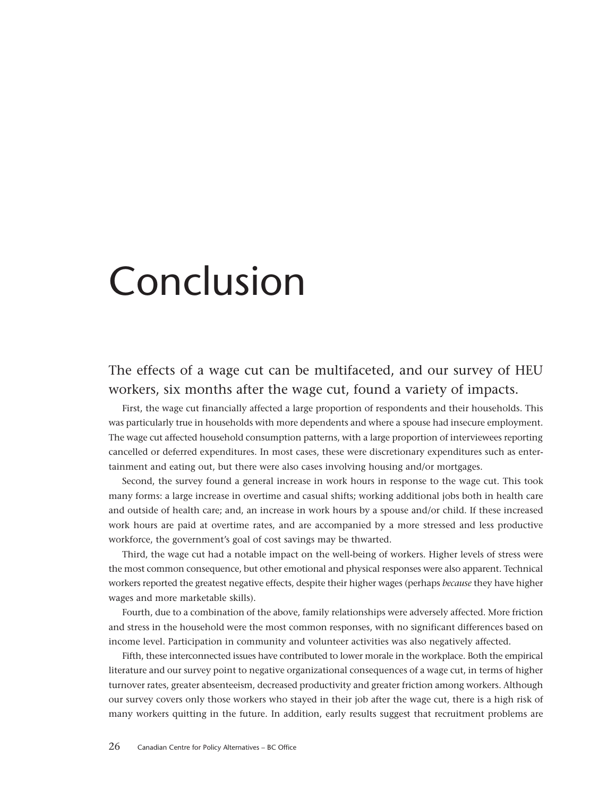# <span id="page-25-0"></span>Conclusion

### The effects of a wage cut can be multifaceted, and our survey of HEU workers, six months after the wage cut, found a variety of impacts.

First, the wage cut financially affected a large proportion of respondents and their households. This was particularly true in households with more dependents and where a spouse had insecure employment. The wage cut affected household consumption patterns, with a large proportion of interviewees reporting cancelled or deferred expenditures. In most cases, these were discretionary expenditures such as entertainment and eating out, but there were also cases involving housing and/or mortgages.

Second, the survey found a general increase in work hours in response to the wage cut. This took many forms: a large increase in overtime and casual shifts; working additional jobs both in health care and outside of health care; and, an increase in work hours by a spouse and/or child. If these increased work hours are paid at overtime rates, and are accompanied by a more stressed and less productive workforce, the government's goal of cost savings may be thwarted.

Third, the wage cut had a notable impact on the well-being of workers. Higher levels of stress were the most common consequence, but other emotional and physical responses were also apparent. Technical workers reported the greatest negative effects, despite their higher wages (perhaps *because* they have higher wages and more marketable skills).

Fourth, due to a combination of the above, family relationships were adversely affected. More friction and stress in the household were the most common responses, with no significant differences based on income level. Participation in community and volunteer activities was also negatively affected.

Fifth, these interconnected issues have contributed to lower morale in the workplace. Both the empirical literature and our survey point to negative organizational consequences of a wage cut, in terms of higher turnover rates, greater absenteeism, decreased productivity and greater friction among workers. Although our survey covers only those workers who stayed in their job after the wage cut, there is a high risk of many workers quitting in the future. In addition, early results suggest that recruitment problems are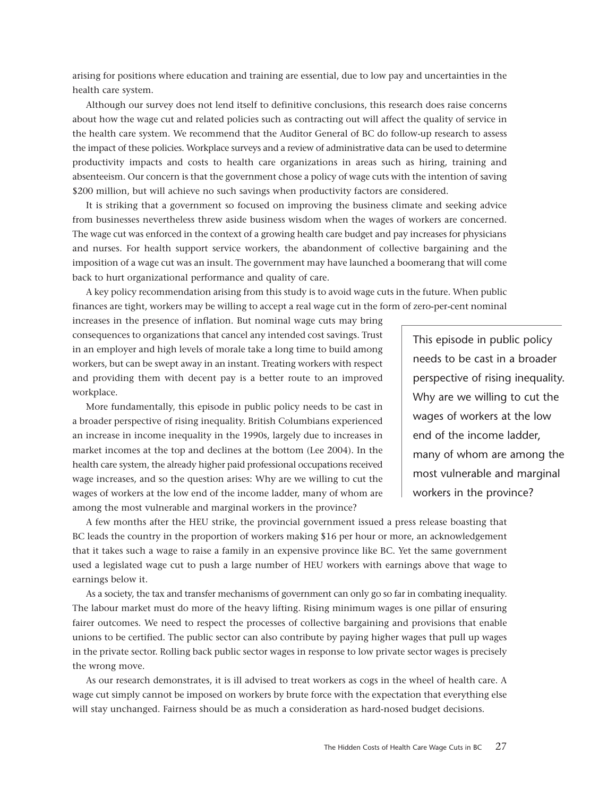arising for positions where education and training are essential, due to low pay and uncertainties in the health care system.

Although our survey does not lend itself to definitive conclusions, this research does raise concerns about how the wage cut and related policies such as contracting out will affect the quality of service in the health care system. We recommend that the Auditor General of BC do follow-up research to assess the impact of these policies. Workplace surveys and a review of administrative data can be used to determine productivity impacts and costs to health care organizations in areas such as hiring, training and absenteeism. Our concern is that the government chose a policy of wage cuts with the intention of saving \$200 million, but will achieve no such savings when productivity factors are considered.

It is striking that a government so focused on improving the business climate and seeking advice from businesses nevertheless threw aside business wisdom when the wages of workers are concerned. The wage cut was enforced in the context of a growing health care budget and pay increases for physicians and nurses. For health support service workers, the abandonment of collective bargaining and the imposition of a wage cut was an insult. The government may have launched a boomerang that will come back to hurt organizational performance and quality of care.

A key policy recommendation arising from this study is to avoid wage cuts in the future. When public finances are tight, workers may be willing to accept a real wage cut in the form of zero-per-cent nominal

increases in the presence of inflation. But nominal wage cuts may bring consequences to organizations that cancel any intended cost savings. Trust in an employer and high levels of morale take a long time to build among workers, but can be swept away in an instant. Treating workers with respect and providing them with decent pay is a better route to an improved workplace.

More fundamentally, this episode in public policy needs to be cast in a broader perspective of rising inequality. British Columbians experienced an increase in income inequality in the 1990s, largely due to increases in market incomes at the top and declines at the bottom (Lee 2004). In the health care system, the already higher paid professional occupations received wage increases, and so the question arises: Why are we willing to cut the wages of workers at the low end of the income ladder, many of whom are among the most vulnerable and marginal workers in the province?

This episode in public policy needs to be cast in a broader perspective of rising inequality. Why are we willing to cut the wages of workers at the low end of the income ladder, many of whom are among the most vulnerable and marginal workers in the province?

A few months after the HEU strike, the provincial government issued a press release boasting that BC leads the country in the proportion of workers making \$16 per hour or more, an acknowledgement that it takes such a wage to raise a family in an expensive province like BC. Yet the same government used a legislated wage cut to push a large number of HEU workers with earnings above that wage to earnings below it.

As a society, the tax and transfer mechanisms of government can only go so far in combating inequality. The labour market must do more of the heavy lifting. Rising minimum wages is one pillar of ensuring fairer outcomes. We need to respect the processes of collective bargaining and provisions that enable unions to be certified. The public sector can also contribute by paying higher wages that pull up wages in the private sector. Rolling back public sector wages in response to low private sector wages is precisely the wrong move.

As our research demonstrates, it is ill advised to treat workers as cogs in the wheel of health care. A wage cut simply cannot be imposed on workers by brute force with the expectation that everything else will stay unchanged. Fairness should be as much a consideration as hard-nosed budget decisions.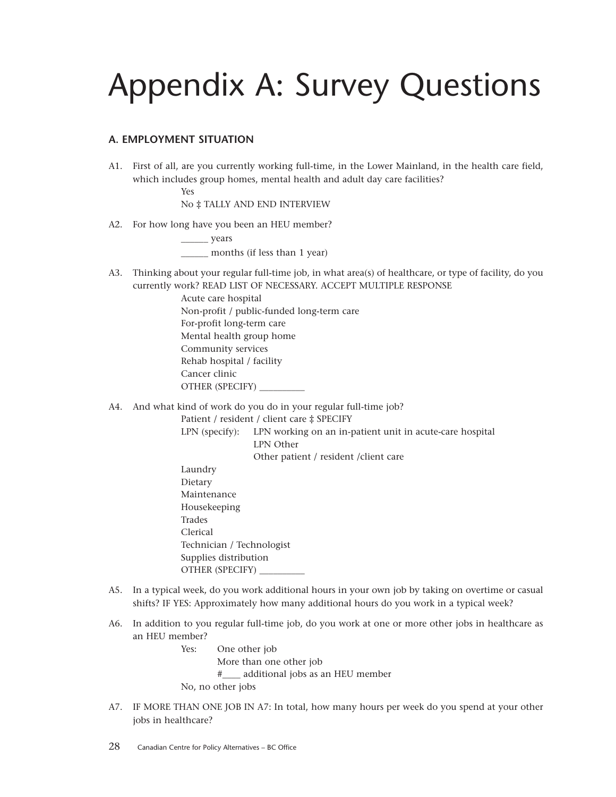## Appendix A: Survey Questions

### **A. EMPLOYMENT SITUATION**

A1. First of all, are you currently working full-time, in the Lower Mainland, in the health care field, which includes group homes, mental health and adult day care facilities?

<span id="page-27-0"></span>Yes

No ‡ TALLY AND END INTERVIEW

A2. For how long have you been an HEU member?

\_\_\_\_\_\_ years months (if less than 1 year)

A3. Thinking about your regular full-time job, in what area(s) of healthcare, or type of facility, do you currently work? READ LIST OF NECESSARY. ACCEPT MULTIPLE RESPONSE

> Acute care hospital Non-profit / public-funded long-term care For-profit long-term care Mental health group home Community services Rehab hospital / facility Cancer clinic OTHER (SPECIFY) \_\_\_\_\_\_\_\_\_\_

A4. And what kind of work do you do in your regular full-time job?

Patient / resident / client care ‡ SPECIFY

LPN (specify): LPN working on an in-patient unit in acute-care hospital LPN Other Other patient / resident /client care

- Laundry Dietary Maintenance Housekeeping Trades Clerical Technician / Technologist Supplies distribution OTHER (SPECIFY) \_\_\_\_\_\_\_\_\_\_
- A5. In a typical week, do you work additional hours in your own job by taking on overtime or casual shifts? IF YES: Approximately how many additional hours do you work in a typical week?
- A6. In addition to you regular full-time job, do you work at one or more other jobs in healthcare as an HEU member?

Yes: One other job More than one other job #\_\_\_\_ additional jobs as an HEU member No, no other jobs

A7. IF MORE THAN ONE JOB IN A7: In total, how many hours per week do you spend at your other jobs in healthcare?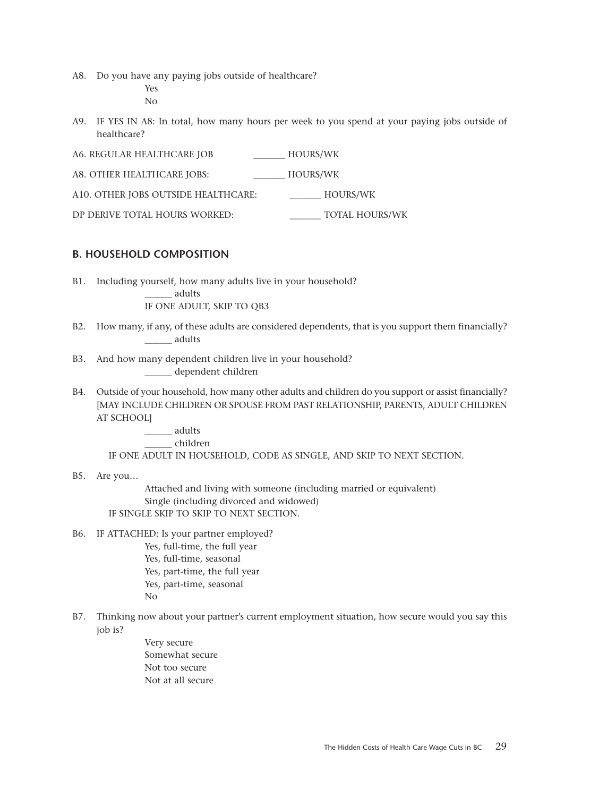A8. Do you have any paying jobs outside of healthcare?

Yes

No

- A9. IF YES IN A8: In total, how many hours per week to you spend at your paying jobs outside of healthcare?
- A6. REGULAR HEALTHCARE JOB \_\_\_\_\_\_\_ HOURS/WK A8. OTHER HEALTHCARE JOBS: HOURS/WK A10. OTHER JOBS OUTSIDE HEALTHCARE: HOURS/WK DP DERIVE TOTAL HOURS WORKED: \_\_\_\_\_\_\_ TOTAL HOURS/WK

### **B. HOUSEHOLD COMPOSITION**

B1. Including yourself, how many adults live in your household?

\_\_\_\_\_\_ adults

IF ONE ADULT, SKIP TO QB3

- B2. How many, if any, of these adults are considered dependents, that is you support them financially? \_\_\_\_\_\_ adults
- B3. And how many dependent children live in your household? \_\_\_\_\_\_ dependent children
- B4. Outside of your household, how many other adults and children do you support or assist financially? [MAY INCLUDE CHILDREN OR SPOUSE FROM PAST RELATIONSHIP, PARENTS, ADULT CHILDREN AT SCHOOL]

\_\_\_\_\_\_ adults \_\_\_\_\_\_ children

IF ONE ADULT IN HOUSEHOLD, CODE AS SINGLE, AND SKIP TO NEXT SECTION.

B5. Are you…

Attached and living with someone (including married or equivalent) Single (including divorced and widowed) IF SINGLE SKIP TO SKIP TO NEXT SECTION.

- B6. IF ATTACHED: Is your partner employed? Yes, full-time, the full year
	- Yes, full-time, seasonal Yes, part-time, the full year Yes, part-time, seasonal No
- B7. Thinking now about your partner's current employment situation, how secure would you say this job is?
	- Very secure Somewhat secure Not too secure Not at all secure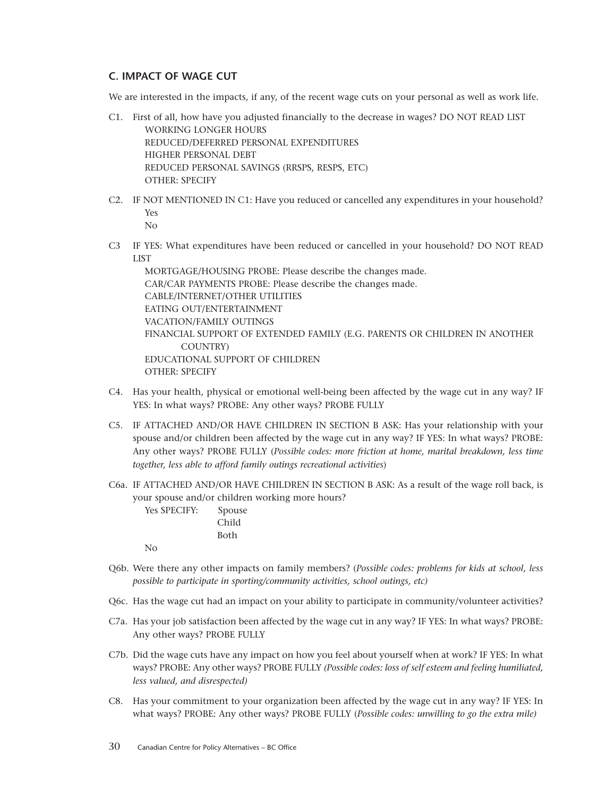### **C. IMPACT OF WAGE CUT**

We are interested in the impacts, if any, of the recent wage cuts on your personal as well as work life.

- C1. First of all, how have you adjusted financially to the decrease in wages? DO NOT READ LIST WORKING LONGER HOURS REDUCED/DEFERRED PERSONAL EXPENDITURES HIGHER PERSONAL DEBT REDUCED PERSONAL SAVINGS (RRSPS, RESPS, ETC) OTHER: SPECIFY
- C2. IF NOT MENTIONED IN C1: Have you reduced or cancelled any expenditures in your household? Yes No
- C3 IF YES: What expenditures have been reduced or cancelled in your household? DO NOT READ LIST

MORTGAGE/HOUSING PROBE: Please describe the changes made. CAR/CAR PAYMENTS PROBE: Please describe the changes made. CABLE/INTERNET/OTHER UTILITIES EATING OUT/ENTERTAINMENT VACATION/FAMILY OUTINGS FINANCIAL SUPPORT OF EXTENDED FAMILY (E.G. PARENTS OR CHILDREN IN ANOTHER COUNTRY) EDUCATIONAL SUPPORT OF CHILDREN OTHER: SPECIFY

- C4. Has your health, physical or emotional well-being been affected by the wage cut in any way? IF YES: In what ways? PROBE: Any other ways? PROBE FULLY
- C5. IF ATTACHED AND/OR HAVE CHILDREN IN SECTION B ASK: Has your relationship with your spouse and/or children been affected by the wage cut in any way? IF YES: In what ways? PROBE: Any other ways? PROBE FULLY (*Possible codes: more friction at home, marital breakdown, less time together, less able to afford family outings recreational activities*)
- C6a. IF ATTACHED AND/OR HAVE CHILDREN IN SECTION B ASK: As a result of the wage roll back, is your spouse and/or children working more hours?

| <b>Yes SPECIFY:</b> | Spouse |
|---------------------|--------|
|                     | Child  |
|                     | Both   |
|                     |        |

No

- Q6b. Were there any other impacts on family members? (*Possible codes: problems for kids at school, less possible to participate in sporting/community activities, school outings, etc)*
- Q6c. Has the wage cut had an impact on your ability to participate in community/volunteer activities?
- C7a. Has your job satisfaction been affected by the wage cut in any way? IF YES: In what ways? PROBE: Any other ways? PROBE FULLY
- C7b. Did the wage cuts have any impact on how you feel about yourself when at work? IF YES: In what ways? PROBE: Any other ways? PROBE FULLY *(Possible codes: loss of self esteem and feeling humiliated, less valued, and disrespected)*
- C8. Has your commitment to your organization been affected by the wage cut in any way? IF YES: In what ways? PROBE: Any other ways? PROBE FULLY (*Possible codes: unwilling to go the extra mile)*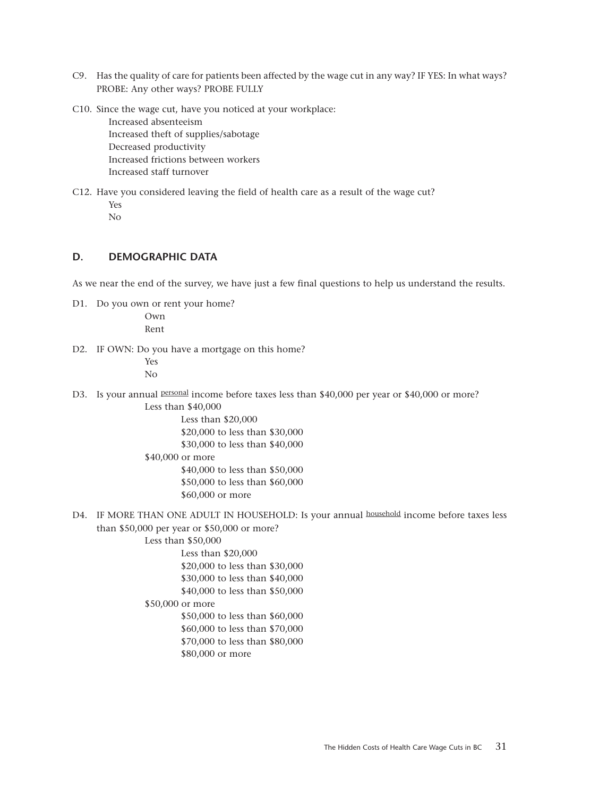- C9. Has the quality of care for patients been affected by the wage cut in any way? IF YES: In what ways? PROBE: Any other ways? PROBE FULLY
- C10. Since the wage cut, have you noticed at your workplace: Increased absenteeism

Increased theft of supplies/sabotage Decreased productivity Increased frictions between workers Increased staff turnover

C12. Have you considered leaving the field of health care as a result of the wage cut? Yes No

### **D. DEMOGRAPHIC DATA**

As we near the end of the survey, we have just a few final questions to help us understand the results.

D1. Do you own or rent your home?

Own Rent

D2. IF OWN: Do you have a mortgage on this home?

Yes No

D3. Is your annual personal income before taxes less than \$40,000 per year or \$40,000 or more? Less than \$40,000

Less than \$20,000

\$20,000 to less than \$30,000 \$30,000 to less than \$40,000 \$40,000 or more \$40,000 to less than \$50,000 \$50,000 to less than \$60,000 \$60,000 or more

D4. IF MORE THAN ONE ADULT IN HOUSEHOLD: Is your annual household income before taxes less than \$50,000 per year or \$50,000 or more?

#### Less than \$50,000

Less than \$20,000 \$20,000 to less than \$30,000 \$30,000 to less than \$40,000 \$40,000 to less than \$50,000

### \$50,000 or more

\$50,000 to less than \$60,000 \$60,000 to less than \$70,000 \$70,000 to less than \$80,000 \$80,000 or more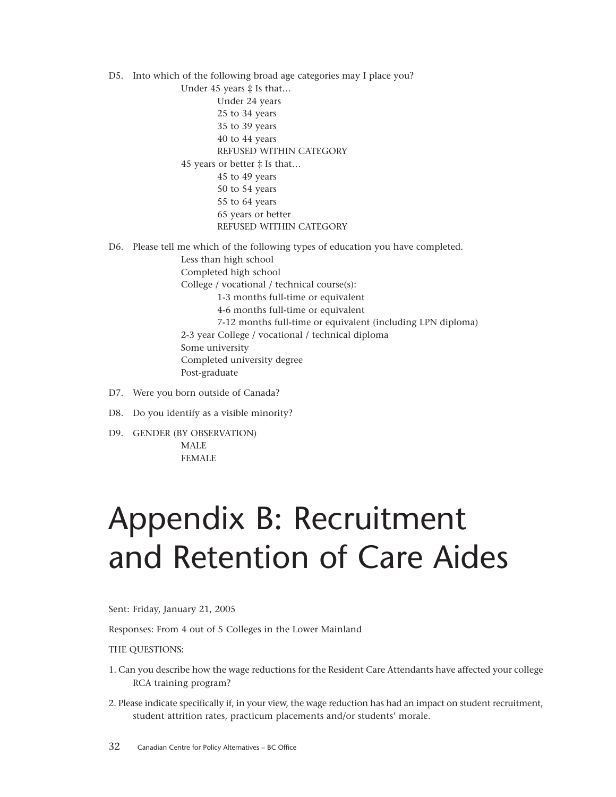D5. Into which of the following broad age categories may I place you?

<span id="page-31-0"></span>Under 45 years ‡ Is that… Under 24 years 25 to 34 years 35 to 39 years 40 to 44 years REFUSED WITHIN CATEGORY 45 years or better ‡ Is that… 45 to 49 years 50 to 54 years 55 to 64 years 65 years or better REFUSED WITHIN CATEGORY

D6. Please tell me which of the following types of education you have completed. Less than high school Completed high school College / vocational / technical course(s): 1-3 months full-time or equivalent 4-6 months full-time or equivalent 7-12 months full-time or equivalent (including LPN diploma) 2-3 year College / vocational / technical diploma Some university Completed university degree Post-graduate

- D7. Were you born outside of Canada?
- D8. Do you identify as a visible minority?
- D9. GENDER (BY OBSERVATION) MALE

### FEMALE

## Appendix B: Recruitment and Retention of Care Aides

Sent: Friday, January 21, 2005

Responses: From 4 out of 5 Colleges in the Lower Mainland

THE QUESTIONS:

- 1. Can you describe how the wage reductions for the Resident Care Attendants have affected your college RCA training program?
- 2. Please indicate specifically if, in your view, the wage reduction has had an impact on student recruitment, student attrition rates, practicum placements and/or students' morale.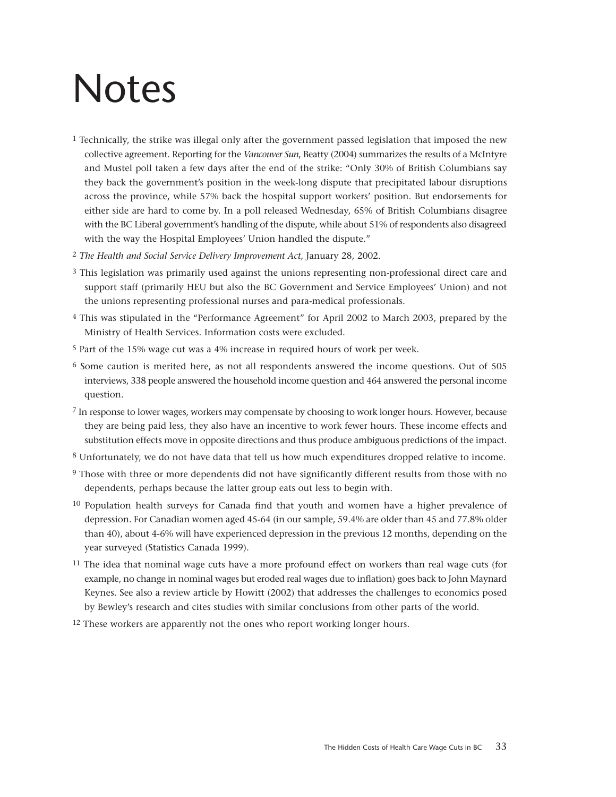# <span id="page-32-0"></span>Notes

- 1 Technically, the strike was illegal only after the government passed legislation that imposed the new collective agreement. Reporting for the *Vancouver Sun*, Beatty (2004) summarizes the results of a McIntyre and Mustel poll taken a few days after the end of the strike: "Only 30% of British Columbians say they back the government's position in the week-long dispute that precipitated labour disruptions across the province, while 57% back the hospital support workers' position. But endorsements for either side are hard to come by. In a poll released Wednesday, 65% of British Columbians disagree with the BC Liberal government's handling of the dispute, while about 51% of respondents also disagreed with the way the Hospital Employees' Union handled the dispute."
- 2 *The Health and Social Service Delivery Improvement Act*, January 28, 2002.
- 3 This legislation was primarily used against the unions representing non-professional direct care and support staff (primarily HEU but also the BC Government and Service Employees' Union) and not the unions representing professional nurses and para-medical professionals.
- 4 This was stipulated in the "Performance Agreement" for April 2002 to March 2003, prepared by the Ministry of Health Services. Information costs were excluded.
- 5 Part of the 15% wage cut was a 4% increase in required hours of work per week.
- 6 Some caution is merited here, as not all respondents answered the income questions. Out of 505 interviews, 338 people answered the household income question and 464 answered the personal income question.
- 7 In response to lower wages, workers may compensate by choosing to work longer hours. However, because they are being paid less, they also have an incentive to work fewer hours. These income effects and substitution effects move in opposite directions and thus produce ambiguous predictions of the impact.
- 8 Unfortunately, we do not have data that tell us how much expenditures dropped relative to income.
- 9 Those with three or more dependents did not have significantly different results from those with no dependents, perhaps because the latter group eats out less to begin with.
- 10 Population health surveys for Canada find that youth and women have a higher prevalence of depression. For Canadian women aged 45-64 (in our sample, 59.4% are older than 45 and 77.8% older than 40), about 4-6% will have experienced depression in the previous 12 months, depending on the year surveyed (Statistics Canada 1999).
- <sup>11</sup> The idea that nominal wage cuts have a more profound effect on workers than real wage cuts (for example, no change in nominal wages but eroded real wages due to inflation) goes back to John Maynard Keynes. See also a review article by Howitt (2002) that addresses the challenges to economics posed by Bewley's research and cites studies with similar conclusions from other parts of the world.
- 12 These workers are apparently not the ones who report working longer hours.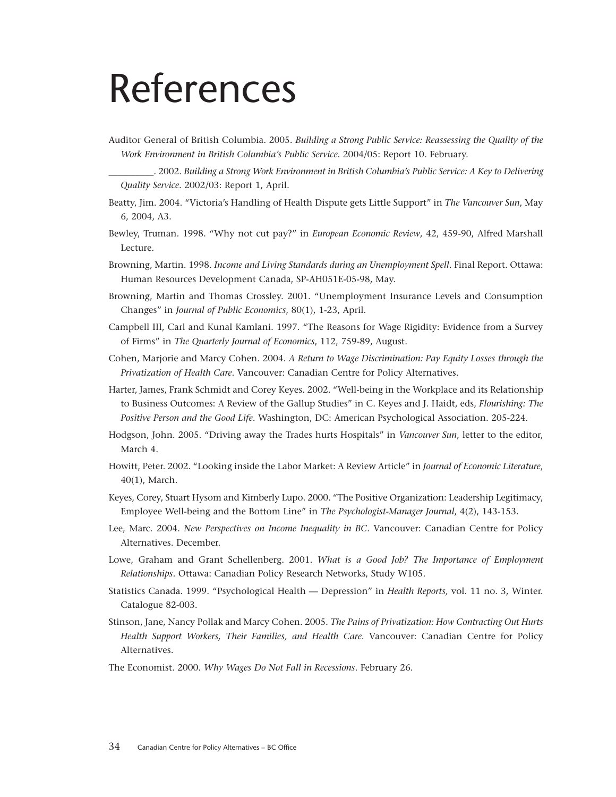# <span id="page-33-0"></span>References

Auditor General of British Columbia. 2005. *Building a Strong Public Service: Reassessing the Quality of the Work Environment in British Columbia's Public Service*. 2004/05: Report 10. February.

\_\_\_\_\_\_\_\_\_\_. 2002. *Building a Strong Work Environment in British Columbia's Public Service: A Key to Delivering Quality Service*. 2002/03: Report 1, April.

- Beatty, Jim. 2004. "Victoria's Handling of Health Dispute gets Little Support" in *The Vancouver Sun*, May 6, 2004, A3.
- Bewley, Truman. 1998. "Why not cut pay?" in *European Economic Review*, 42, 459-90, Alfred Marshall Lecture.
- Browning, Martin. 1998. *Income and Living Standards during an Unemployment Spell*. Final Report. Ottawa: Human Resources Development Canada, SP-AH051E-05-98, May.
- Browning, Martin and Thomas Crossley. 2001. "Unemployment Insurance Levels and Consumption Changes" in *Journal of Public Economics*, 80(1), 1-23, April.
- Campbell III, Carl and Kunal Kamlani. 1997. "The Reasons for Wage Rigidity: Evidence from a Survey of Firms" in *The Quarterly Journal of Economics*, 112, 759-89, August.
- Cohen, Marjorie and Marcy Cohen. 2004. *A Return to Wage Discrimination: Pay Equity Losses through the Privatization of Health Care*. Vancouver: Canadian Centre for Policy Alternatives.
- Harter, James, Frank Schmidt and Corey Keyes. 2002. "Well-being in the Workplace and its Relationship to Business Outcomes: A Review of the Gallup Studies" in C. Keyes and J. Haidt, eds, *Flourishing: The Positive Person and the Good Life*. Washington, DC: American Psychological Association. 205-224.
- Hodgson, John. 2005. "Driving away the Trades hurts Hospitals" in *Vancouver Sun*, letter to the editor, March 4.
- Howitt, Peter. 2002. "Looking inside the Labor Market: A Review Article" in *Journal of Economic Literature*, 40(1), March.
- Keyes, Corey, Stuart Hysom and Kimberly Lupo. 2000. "The Positive Organization: Leadership Legitimacy, Employee Well-being and the Bottom Line" in *The Psychologist-Manager Journal*, 4(2), 143-153.
- Lee, Marc. 2004. *New Perspectives on Income Inequality in BC*. Vancouver: Canadian Centre for Policy Alternatives. December.
- Lowe, Graham and Grant Schellenberg. 2001. *What is a Good Job? The Importance of Employment Relationships*. Ottawa: Canadian Policy Research Networks, Study W105.
- Statistics Canada. 1999. "Psychological Health Depression" in *Health Reports,* vol. 11 no. 3, Winter. Catalogue 82-003.
- Stinson, Jane, Nancy Pollak and Marcy Cohen. 2005. *The Pains of Privatization: How Contracting Out Hurts Health Support Workers, Their Families, and Health Care*. Vancouver: Canadian Centre for Policy Alternatives.

The Economist. 2000. *Why Wages Do Not Fall in Recessions*. February 26.